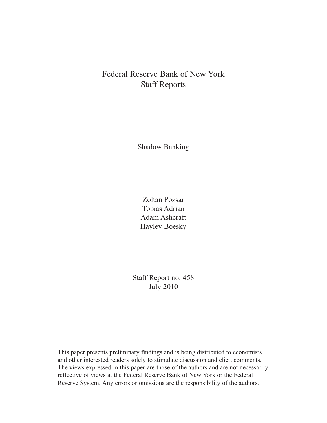# Federal Reserve Bank of New York Staff Reports

Shadow Banking

Zoltan Pozsar Tobias Adrian Adam Ashcraft Hayley Boesky

Staff Report no. 458 July 2010

This paper presents preliminary findings and is being distributed to economists and other interested readers solely to stimulate discussion and elicit comments. The views expressed in this paper are those of the authors and are not necessarily reflective of views at the Federal Reserve Bank of New York or the Federal Reserve System. Any errors or omissions are the responsibility of the authors.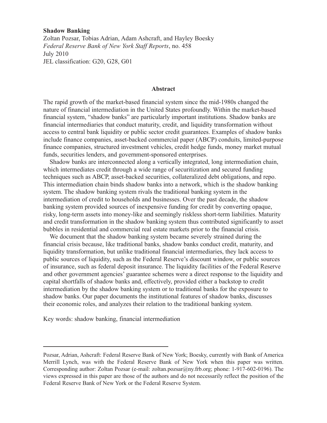# **Shadow Banking**

Zoltan Pozsar, Tobias Adrian, Adam Ashcraft, and Hayley Boesky *Federal Reserve Bank of New York Staff Reports*, no. 458 July 2010 JEL classification: G20, G28, G01

# **Abstract**

The rapid growth of the market-based financial system since the mid-1980s changed the nature of financial intermediation in the United States profoundly. Within the market-based financial system, "shadow banks" are particularly important institutions. Shadow banks are financial intermediaries that conduct maturity, credit, and liquidity transformation without access to central bank liquidity or public sector credit guarantees. Examples of shadow banks include finance companies, asset-backed commercial paper (ABCP) conduits, limited-purpose finance companies, structured investment vehicles, credit hedge funds, money market mutual funds, securities lenders, and government-sponsored enterprises.

Shadow banks are interconnected along a vertically integrated, long intermediation chain, which intermediates credit through a wide range of securitization and secured funding techniques such as ABCP, asset-backed securities, collateralized debt obligations, and repo. This intermediation chain binds shadow banks into a network, which is the shadow banking system. The shadow banking system rivals the traditional banking system in the intermediation of credit to households and businesses. Over the past decade, the shadow banking system provided sources of inexpensive funding for credit by converting opaque, risky, long-term assets into money-like and seemingly riskless short-term liabilities. Maturity and credit transformation in the shadow banking system thus contributed significantly to asset bubbles in residential and commercial real estate markets prior to the financial crisis.

We document that the shadow banking system became severely strained during the financial crisis because, like traditional banks, shadow banks conduct credit, maturity, and liquidity transformation, but unlike traditional financial intermediaries, they lack access to public sources of liquidity, such as the Federal Reserve's discount window, or public sources of insurance, such as federal deposit insurance. The liquidity facilities of the Federal Reserve and other government agencies' guarantee schemes were a direct response to the liquidity and capital shortfalls of shadow banks and, effectively, provided either a backstop to credit intermediation by the shadow banking system or to traditional banks for the exposure to shadow banks. Our paper documents the institutional features of shadow banks, discusses their economic roles, and analyzes their relation to the traditional banking system.

Key words: shadow banking, financial intermediation

Pozsar, Adrian, Ashcraft: Federal Reserve Bank of New York; Boesky, currently with Bank of America Merrill Lynch, was with the Federal Reserve Bank of New York when this paper was written. Corresponding author: Zoltan Pozsar (e-mail: zoltan.pozsar@ny.frb.org; phone: 1-917-602-0196). The views expressed in this paper are those of the authors and do not necessarily reflect the position of the Federal Reserve Bank of New York or the Federal Reserve System.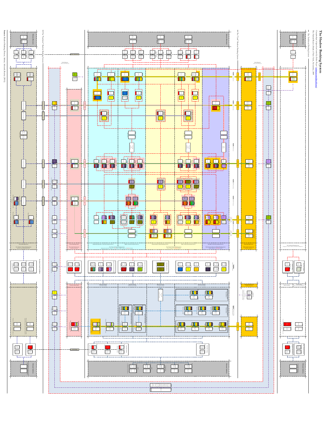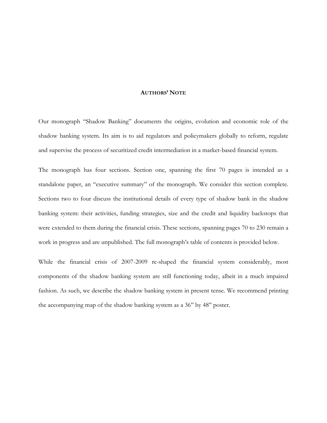# **AUTHORS' NOTE**

Our monograph "Shadow Banking" documents the origins, evolution and economic role of the shadow banking system. Its aim is to aid regulators and policymakers globally to reform, regulate and supervise the process of securitized credit intermediation in a market-based financial system.

The monograph has four sections. Section one, spanning the first 70 pages is intended as a standalone paper, an "executive summary" of the monograph. We consider this section complete. Sections two to four discuss the institutional details of every type of shadow bank in the shadow banking system: their activities, funding strategies, size and the credit and liquidity backstops that were extended to them during the financial crisis. These sections, spanning pages 70 to 230 remain a work in progress and are unpublished. The full monograph's table of contents is provided below.

While the financial crisis of 2007-2009 re-shaped the financial system considerably, most components of the shadow banking system are still functioning today, albeit in a much impaired fashion. As such, we describe the shadow banking system in present tense. We recommend printing the accompanying map of the shadow banking system as a 36'' by 48'' poster.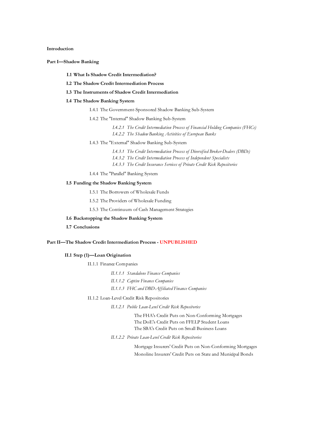**Introduction**

**Part I—Shadow Banking**

- **I.1 What Is Shadow Credit Intermediation?**
- **I.2 The Shadow Credit Intermediation Process**
- **I.3 The Instruments of Shadow Credit Intermediation**

#### **I.4 The Shadow Banking System**

- I.4.1 The Government-Sponsored Shadow Banking Sub-System
- I.4.2 The "Internal" Shadow Banking Sub-System
	- *I.4.2.1 The Credit Intermediation Process of Financial Holding Companies (FHCs) I.4.2.2 The Shadow Banking Activities of European Banks*

#### I.4.3 The "External" Shadow Banking Sub-System

- *I.4.3.1 The Credit Intermediation Process of Diversified Broker-Dealers (DBDs)*
- *I.4.3.2 The Credit Intermediation Process of Independent Specialists*
- *I.4.3.3 The Credit Insurance Services of Private Credit Risk Repositories*
- I.4.4 The "Parallel" Banking System

#### **I.5 Funding the Shadow Banking System**

- I.5.1 The Borrowers of Wholesale Funds
- I.5.2 The Providers of Wholesale Funding
- I.5.3 The Continuum of Cash Management Strategies

#### **I.6 Backstopping the Shadow Banking System**

**I.7 Conclusions**

#### **Part II—The Shadow Credit Intermediation Process - UNPUBLISHED**

#### **II.1 Step (1)—Loan Origination**

II.1.1 Finance Companies

- *II.1.1.1 Standalone Finance Companies*
- *II.1.1.2 Captive Finance Companies*
- *II.1.1.3 FHC and DBD-Affiliated Finance Companies*

#### II.1.2 Loan-Level Credit Risk Repositories

*II.1.2.1 Public Loan-Level Credit Risk Repositories*

The FHA's Credit Puts on Non-Conforming Mortgages The DoE's Credit Puts on FFELP Student Loans The SBA's Credit Puts on Small Business Loans

#### *II.1.2.2 Private Loan-Level Credit Risk Repositories*

Mortgage Insurers' Credit Puts on Non-Conforming Mortgages Monoline Insurers' Credit Puts on State and Municipal Bonds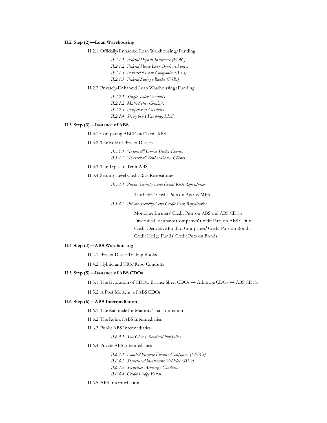#### **II.2 Step (2)—Loan Warehousing**

II.2.1 Officially-Enhanced Loan Warehousing/Funding

- *II.2.1.1 Federal Deposit Insurance (FDIC)*
- *II.2.1.2 Federal Home Loan Bank Advances*
- *II.2.1.3 Industrial Loan Companies (ILCs)*
- *II.2.1.3 Federal Savings Banks (FSBs)*

#### II.2.2 Privately-Enhanced Loan Warehousing/Funding

- *II.2.2.1 Single-Seller Conduits*
- *II.2.2.2 Multi-Seller Conduits*
- *II.2.2.3 Independent Conduits*
- *II.2.2.4 Straight-A Funding, LLC*

#### **II.3 Step (3)—Issuance of ABS**

II.3.1 Comparing ABCP and Term ABS

#### II.3.2 The Role of Broker-Dealers

- *II.3.1.1 "Internal" Broker-Dealer Clients*
- *II.3.1.2 "External" Broker-Dealer Clients*
- II.3.3 The Types of Term ABS
- II.3.4 Security-Level Credit Risk Repositories

*II.3.4.1 Public Security-Level Credit Risk Repositories*

The GSEs' Credit Puts on Agency MBS

*II.3.4.2 Private Security-Level Credit Risk Repositories*

Monoline Insurers' Credit Puts on ABS and ABS CDOs Diversified Insurance Companies' Credit Puts on ABS CDOs Credit Derivative Product Companies' Credit Puts on Bonds Credit Hedge Funds' Credit Puts on Bonds

#### **II.4 Step (4)—ABS Warehousing**

II.4.1 Broker-Dealer Trading Books

II.4.2 Hybrid and TRS/Repo Conduits

#### **II.5 Step (5)—Issuance of ABS CDOs**

II.5.1 The Evolution of CDOs: Balance Sheet CDOs → Arbitrage CDOs → ABS CDOs

II.5.2 A Post Mortem of ABS CDOs

#### **II.6 Step (6)—ABS Intermediation**

- II.6.1 The Rationale for Maturity Transformation
- II.6.2 The Role of ABS Intermediaries
- II.6.3 Public ABS Intermediaries

*II.6.3.1 The GSEs' Retained Portfolios*

#### II.6.4 Private ABS Intermediaries

- *II.6.4.1 Limited Purpose Finance Companies (LPFCs)*
- *II.6.4.2 Structured Investment Vehicles (SIVs)*
- *II.6.4.3 Securities Arbitrage Conduits*
- *II.6.4.4 Credit Hedge Funds*
- II.6.5 ABS Intermediation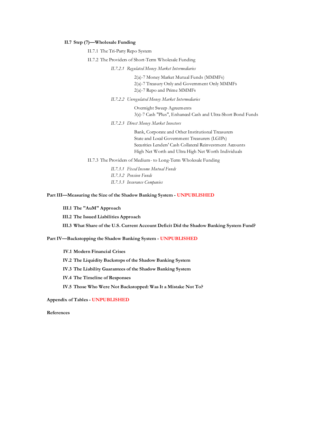#### **II.7 Step (7)—Wholesale Funding**

II.7.1 The Tri-Party Repo System

II.7.2 The Providers of Short-Term Wholesale Funding

*II.7.2.1 Regulated Money Market Intermediaries*

2(a)-7 Money Market Mutual Funds (MMMFs)

2(a)-7 Treasury Only and Government Only MMMFs

2(a)-7 Repo and Prime MMMFs

*II.7.2.2 Unregulated Money Market Intermediaries*

Overnight Sweep Agreements 3(c)-7 Cash "Plus", Enhanced Cash and Ultra-Short Bond Funds

*II.7.2.3 Direct Money Market Investors*

Bank, Corporate and Other Institutional Treasurers State and Local Government Treasurers (LGIPs) Securities Lenders' Cash Collateral Reinvestment Accounts High Net Worth and Ultra High Net Worth Individuals

II.7.3 The Providers of Medium- to Long-Term Wholesale Funding

- *II.7.3.1 Fixed Income Mutual Funds*
- *II.7.3.2 Pension Funds*
- *II.7.3.3 Insurance Companies*

#### Part III-Measuring the Size of the Shadow Banking System - **UNPUBLISHED**

- **III.1 The "AuM" Approach**
- **III.2 The Issued Liabilities Approach**

**III.3 What Share of the U.S. Current Account Deficit Did the Shadow Banking System Fund?**

Part IV—Backstopping the Shadow Banking System - **UNPUBLISHED** 

- **IV.1 Modern Financial Crises**
- **IV.2 The Liquidity Backstops of the Shadow Banking System**
- **IV.3 The Liability Guarantees of the Shadow Banking System**
- **IV.4 The Timeline of Responses**
- **IV.5 Those Who Were Not Backstopped: Was It a Mistake Not To?**

**Appendix of Tables - UNPUBLISHED**

**References**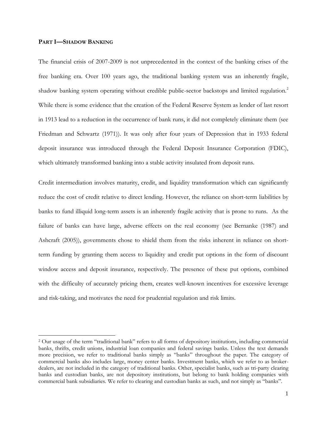## **PART I—SHADOW BANKING**

l

The financial crisis of 2007-2009 is not unprecedented in the context of the banking crises of the free banking era. Over 100 years ago, the traditional banking system was an inherently fragile, shadow banking system operating without credible public-sector backstops and limited regulation.<sup>2</sup> While there is some evidence that the creation of the Federal Reserve System as lender of last resort in 1913 lead to a reduction in the occurrence of bank runs, it did not completely eliminate them (see Friedman and Schwartz (1971)). It was only after four years of Depression that in 1933 federal deposit insurance was introduced through the Federal Deposit Insurance Corporation (FDIC), which ultimately transformed banking into a stable activity insulated from deposit runs.

Credit intermediation involves maturity, credit, and liquidity transformation which can significantly reduce the cost of credit relative to direct lending. However, the reliance on short-term liabilities by banks to fund illiquid long-term assets is an inherently fragile activity that is prone to runs. As the failure of banks can have large, adverse effects on the real economy (see Bernanke (1987) and Ashcraft (2005)), governments chose to shield them from the risks inherent in reliance on shortterm funding by granting them access to liquidity and credit put options in the form of discount window access and deposit insurance, respectively. The presence of these put options, combined with the difficulty of accurately pricing them, creates well-known incentives for excessive leverage and risk-taking, and motivates the need for prudential regulation and risk limits.

<sup>&</sup>lt;sup>2</sup> Our usage of the term "traditional bank" refers to all forms of depository institutions, including commercial banks, thrifts, credit unions, industrial loan companies and federal savings banks. Unless the text demands more precision, we refer to traditional banks simply as "banks" throughout the paper. The category of commercial banks also includes large, money center banks. Investment banks, which we refer to as brokerdealers, are not included in the category of traditional banks. Other, specialist banks, such as tri-party clearing banks and custodian banks, are not depository institutions, but belong to bank holding companies with commercial bank subsidiaries. We refer to clearing and custodian banks as such, and not simply as "banks".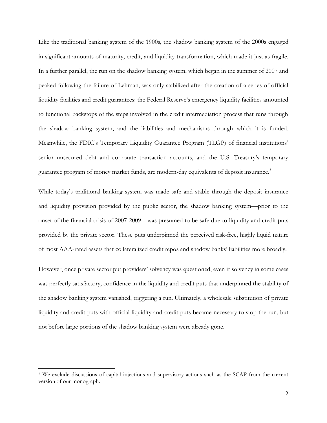Like the traditional banking system of the 1900s, the shadow banking system of the 2000s engaged in significant amounts of maturity, credit, and liquidity transformation, which made it just as fragile. In a further parallel, the run on the shadow banking system, which began in the summer of 2007 and peaked following the failure of Lehman, was only stabilized after the creation of a series of official liquidity facilities and credit guarantees: the Federal Reserve's emergency liquidity facilities amounted to functional backstops of the steps involved in the credit intermediation process that runs through the shadow banking system, and the liabilities and mechanisms through which it is funded. Meanwhile, the FDIC's Temporary Liquidity Guarantee Program (TLGP) of financial institutions' senior unsecured debt and corporate transaction accounts, and the U.S. Treasury's temporary guarantee program of money market funds, are modern-day equivalents of deposit insurance.<sup>3</sup>

While today's traditional banking system was made safe and stable through the deposit insurance and liquidity provision provided by the public sector, the shadow banking system—prior to the onset of the financial crisis of 2007-2009—was presumed to be safe due to liquidity and credit puts provided by the private sector. These puts underpinned the perceived risk-free, highly liquid nature of most AAA-rated assets that collateralized credit repos and shadow banks' liabilities more broadly.

However, once private sector put providers' solvency was questioned, even if solvency in some cases was perfectly satisfactory, confidence in the liquidity and credit puts that underpinned the stability of the shadow banking system vanished, triggering a run. Ultimately, a wholesale substitution of private liquidity and credit puts with official liquidity and credit puts became necessary to stop the run, but not before large portions of the shadow banking system were already gone.

l

<sup>&</sup>lt;sup>3</sup> We exclude discussions of capital injections and supervisory actions such as the SCAP from the current version of our monograph.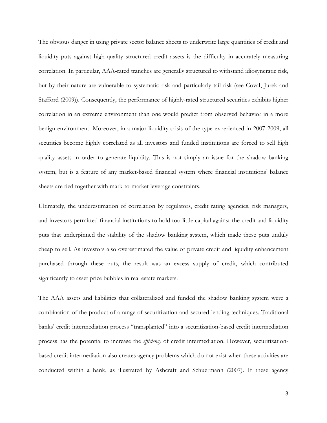The obvious danger in using private sector balance sheets to underwrite large quantities of credit and liquidity puts against high-quality structured credit assets is the difficulty in accurately measuring correlation. In particular, AAA-rated tranches are generally structured to withstand idiosyncratic risk, but by their nature are vulnerable to systematic risk and particularly tail risk (see Coval, Jurek and Stafford (2009)). Consequently, the performance of highly-rated structured securities exhibits higher correlation in an extreme environment than one would predict from observed behavior in a more benign environment. Moreover, in a major liquidity crisis of the type experienced in 2007-2009, all securities become highly correlated as all investors and funded institutions are forced to sell high quality assets in order to generate liquidity. This is not simply an issue for the shadow banking system, but is a feature of any market-based financial system where financial institutions' balance sheets are tied together with mark-to-market leverage constraints.

Ultimately, the underestimation of correlation by regulators, credit rating agencies, risk managers, and investors permitted financial institutions to hold too little capital against the credit and liquidity puts that underpinned the stability of the shadow banking system, which made these puts unduly cheap to sell. As investors also overestimated the value of private credit and liquidity enhancement purchased through these puts, the result was an excess supply of credit, which contributed significantly to asset price bubbles in real estate markets.

The AAA assets and liabilities that collateralized and funded the shadow banking system were a combination of the product of a range of securitization and secured lending techniques. Traditional banks' credit intermediation process "transplanted" into a securitization-based credit intermediation process has the potential to increase the *efficiency* of credit intermediation. However, securitizationbased credit intermediation also creates agency problems which do not exist when these activities are conducted within a bank, as illustrated by Ashcraft and Schuermann (2007). If these agency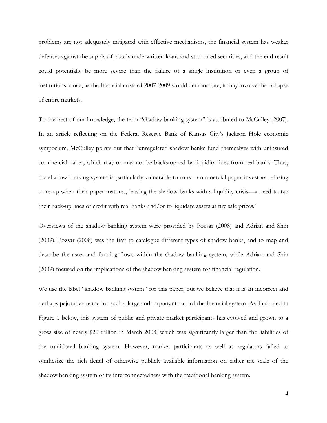problems are not adequately mitigated with effective mechanisms, the financial system has weaker defenses against the supply of poorly underwritten loans and structured securities, and the end result could potentially be more severe than the failure of a single institution or even a group of institutions, since, as the financial crisis of 2007-2009 would demonstrate, it may involve the collapse of entire markets.

To the best of our knowledge, the term "shadow banking system" is attributed to McCulley (2007). In an article reflecting on the Federal Reserve Bank of Kansas City's Jackson Hole economic symposium, McCulley points out that "unregulated shadow banks fund themselves with uninsured commercial paper, which may or may not be backstopped by liquidity lines from real banks. Thus, the shadow banking system is particularly vulnerable to runs—commercial paper investors refusing to re-up when their paper matures, leaving the shadow banks with a liquidity crisis—a need to tap their back-up lines of credit with real banks and/or to liquidate assets at fire sale prices."

Overviews of the shadow banking system were provided by Pozsar (2008) and Adrian and Shin (2009). Pozsar (2008) was the first to catalogue different types of shadow banks, and to map and describe the asset and funding flows within the shadow banking system, while Adrian and Shin (2009) focused on the implications of the shadow banking system for financial regulation.

We use the label "shadow banking system" for this paper, but we believe that it is an incorrect and perhaps pejorative name for such a large and important part of the financial system. As illustrated in Figure 1 below, this system of public and private market participants has evolved and grown to a gross size of nearly \$20 trillion in March 2008, which was significantly larger than the liabilities of the traditional banking system. However, market participants as well as regulators failed to synthesize the rich detail of otherwise publicly available information on either the scale of the shadow banking system or its interconnectedness with the traditional banking system.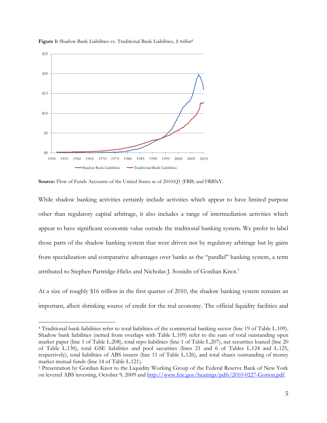

**Figure 1:** Shadow Bank Liabilities vs. Traditional Bank Liabilities*, \$ trillion*<sup>4</sup>

**Source:** Flow of Funds Accounts of the United States as of 2010:Q1 (FRB) and FRBNY.

 $\overline{\phantom{a}}$ 

While shadow banking activities certainly include activities which appear to have limited purpose other than regulatory capital arbitrage, it also includes a range of intermediation activities which appear to have significant economic value outside the traditional banking system. We prefer to label those parts of the shadow banking system that were driven not by regulatory arbitrage but by gains from specialization and comparative advantages over banks as the "parallel" banking system, a term attributed to Stephen Partridge-Hicks and Nicholas J. Sossidis of Gordian Knot.<sup>5</sup>

At a size of roughly \$16 trillion in the first quarter of 2010, the shadow banking system remains an important, albeit shrinking source of credit for the real economy. The official liquidity facilities and

<sup>4</sup> Traditional bank liabilities refer to total liabilities of the commercial banking sector (line 19 of Table L.109). Shadow bank liabilities (netted from overlaps with Table L.109) refer to the sum of total outstanding open market paper (line 1 of Table L.208), total repo liabilities (line 1 of Table L.207), net securities loaned (line 20 of Table L.130), total GSE liabilities and pool securities (lines 21 and 6 of Tables L.124 and L.125, respectively), total liabilities of ABS issuers (line 11 of Table L.126), and total shares outstanding of money market mutual funds (line 14 of Table L.121).

<sup>5</sup> Presentation by Gordian Knot to the Liquidity Working Group of the Federal Reserve Bank of New York on levered ABS investing, October 9, 2009 and [http://www.fcic.gov/hearings/pdfs/2010-0227-Gorton.pdf.](http://www.fcic.gov/hearings/pdfs/2010-0227-Gorton.pdf)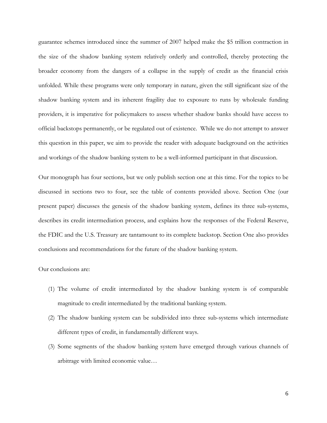guarantee schemes introduced since the summer of 2007 helped make the \$5 trillion contraction in the size of the shadow banking system relatively orderly and controlled, thereby protecting the broader economy from the dangers of a collapse in the supply of credit as the financial crisis unfolded. While these programs were only temporary in nature, given the still significant size of the shadow banking system and its inherent fragility due to exposure to runs by wholesale funding providers, it is imperative for policymakers to assess whether shadow banks should have access to official backstops permanently, or be regulated out of existence. While we do not attempt to answer this question in this paper, we aim to provide the reader with adequate background on the activities and workings of the shadow banking system to be a well-informed participant in that discussion.

Our monograph has four sections, but we only publish section one at this time. For the topics to be discussed in sections two to four, see the table of contents provided above. Section One (our present paper) discusses the genesis of the shadow banking system, defines its three sub-systems, describes its credit intermediation process, and explains how the responses of the Federal Reserve, the FDIC and the U.S. Treasury are tantamount to its complete backstop. Section One also provides conclusions and recommendations for the future of the shadow banking system.

# Our conclusions are:

- (1) The volume of credit intermediated by the shadow banking system is of comparable magnitude to credit intermediated by the traditional banking system.
- (2) The shadow banking system can be subdivided into three sub-systems which intermediate different types of credit, in fundamentally different ways.
- (3) Some segments of the shadow banking system have emerged through various channels of arbitrage with limited economic value…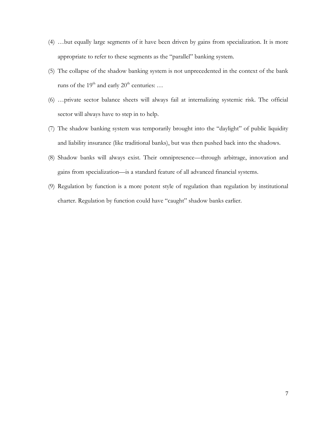- (4) …but equally large segments of it have been driven by gains from specialization. It is more appropriate to refer to these segments as the "parallel" banking system.
- (5) The collapse of the shadow banking system is not unprecedented in the context of the bank runs of the 19<sup>th</sup> and early 20<sup>th</sup> centuries: ...
- (6) …private sector balance sheets will always fail at internalizing systemic risk. The official sector will always have to step in to help.
- (7) The shadow banking system was temporarily brought into the "daylight" of public liquidity and liability insurance (like traditional banks), but was then pushed back into the shadows.
- (8) Shadow banks will always exist. Their omnipresence—through arbitrage, innovation and gains from specialization—is a standard feature of all advanced financial systems.
- (9) Regulation by function is a more potent style of regulation than regulation by institutional charter. Regulation by function could have "caught" shadow banks earlier.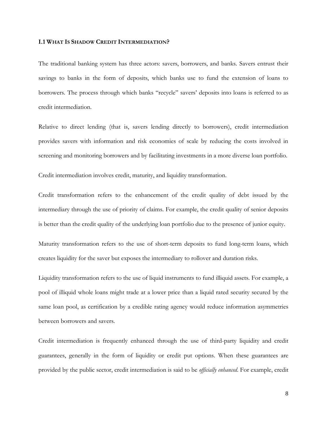# **I.1 WHAT IS SHADOW CREDIT INTERMEDIATION?**

The traditional banking system has three actors: savers, borrowers, and banks. Savers entrust their savings to banks in the form of deposits, which banks use to fund the extension of loans to borrowers. The process through which banks "recycle" savers' deposits into loans is referred to as credit intermediation.

Relative to direct lending (that is, savers lending directly to borrowers), credit intermediation provides savers with information and risk economies of scale by reducing the costs involved in screening and monitoring borrowers and by facilitating investments in a more diverse loan portfolio.

Credit intermediation involves credit, maturity, and liquidity transformation.

Credit transformation refers to the enhancement of the credit quality of debt issued by the intermediary through the use of priority of claims. For example, the credit quality of senior deposits is better than the credit quality of the underlying loan portfolio due to the presence of junior equity.

Maturity transformation refers to the use of short-term deposits to fund long-term loans, which creates liquidity for the saver but exposes the intermediary to rollover and duration risks.

Liquidity transformation refers to the use of liquid instruments to fund illiquid assets. For example, a pool of illiquid whole loans might trade at a lower price than a liquid rated security secured by the same loan pool, as certification by a credible rating agency would reduce information asymmetries between borrowers and savers.

Credit intermediation is frequently enhanced through the use of third-party liquidity and credit guarantees, generally in the form of liquidity or credit put options. When these guarantees are provided by the public sector, credit intermediation is said to be *officially enhanced*. For example, credit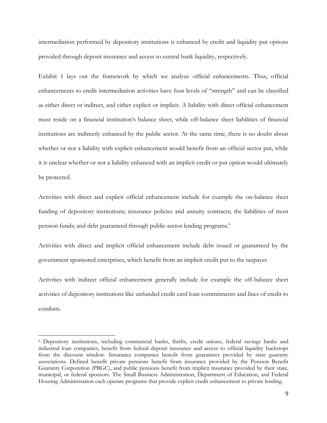intermediation performed by depository institutions is enhanced by credit and liquidity put options provided through deposit insurance and access to central bank liquidity, respectively.

Exhibit 1 lays out the framework by which we analyze official enhancements. Thus, official enhancements to credit intermediation activities have four levels of "strength" and can be classified as either direct or indirect, and either explicit or implicit. A liability with direct official enhancement must reside on a financial institution's balance sheet, while off-balance sheet liabilities of financial institutions are indirectly enhanced by the public sector. At the same time, there is no doubt about whether or not a liability with explicit enhancement would benefit from an official sector put, while it is unclear whether or not a liability enhanced with an implicit credit or put option would ultimately be protected.

Activities with direct and explicit official enhancement include for example the on-balance sheet funding of depository institutions; insurance policies and annuity contracts; the liabilities of most pension funds; and debt guaranteed through public-sector lending programs.<sup>6</sup>

Activities with direct and implicit official enhancement include debt issued or guaranteed by the government sponsored enterprises, which benefit from an implicit credit put to the taxpayer.

Activities with indirect official enhancement generally include for example the off-balance sheet activities of depository institutions like unfunded credit card loan commitments and lines of credit to conduits.

l

<sup>6</sup> Depository institutions, including commercial banks, thrifts, credit unions, federal savings banks and industrial loan companies, benefit from federal deposit insurance and access to official liquidity backstops from the discount window. Insurance companies benefit from guarantees provided by state guaranty associations. Defined benefit private pensions benefit from insurance provided by the Pension Benefit Guaranty Corporation (PBGC), and public pensions benefit from implicit insurance provided by their state, municipal, or federal sponsors. The Small Business Administration, Department of Education, and Federal Housing Administration each operate programs that provide explicit credit enhancement to private lending.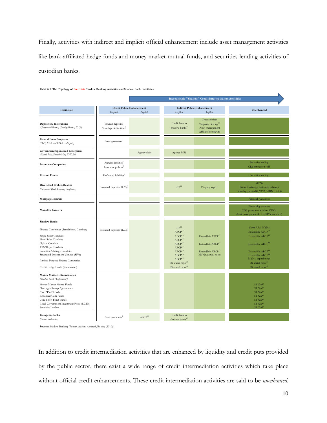Finally, activities with indirect and implicit official enhancement include asset management activities like bank-affiliated hedge funds and money market mutual funds, and securities lending activities of custodian banks.

|                                                                                                                                                                                                                                                                                         |                                                                       | Increasingly "Shadow" Credit Intermediation Activities |                                                                                                                                                                                                                                                                      |                                                                                                                        |                                                                                                                                                                                                                                                                              |
|-----------------------------------------------------------------------------------------------------------------------------------------------------------------------------------------------------------------------------------------------------------------------------------------|-----------------------------------------------------------------------|--------------------------------------------------------|----------------------------------------------------------------------------------------------------------------------------------------------------------------------------------------------------------------------------------------------------------------------|------------------------------------------------------------------------------------------------------------------------|------------------------------------------------------------------------------------------------------------------------------------------------------------------------------------------------------------------------------------------------------------------------------|
| Institution                                                                                                                                                                                                                                                                             | <b>Direct Public Enhancement</b><br>Explicit                          | Impilcit                                               | Explicit                                                                                                                                                                                                                                                             | <b>Indirect Public Enhancement</b><br>Implicit                                                                         | Unenhanced                                                                                                                                                                                                                                                                   |
| <b>Depository Institutions</b><br>(Commercial Banks, Clearing Banks, ILCs)                                                                                                                                                                                                              | Insured deposits <sup>1</sup><br>Non-deposit liabilities <sup>2</sup> |                                                        | Credit lines to<br>shadow banks <sup>9</sup>                                                                                                                                                                                                                         | Trust activities<br>Tri-party clearing <sup>10</sup><br>Asset management<br>Affiliate borrowing                        |                                                                                                                                                                                                                                                                              |
| <b>Federal Loan Programs</b><br>(DoE, SBA and FHA credit puts)                                                                                                                                                                                                                          | Loan guarantees <sup>3</sup>                                          |                                                        |                                                                                                                                                                                                                                                                      |                                                                                                                        |                                                                                                                                                                                                                                                                              |
| <b>Government Sponsored Enterprises</b><br>(Fannie Mae, Freddie Mac, FHLBs)                                                                                                                                                                                                             |                                                                       | Agency debt                                            | Agency MBS                                                                                                                                                                                                                                                           |                                                                                                                        |                                                                                                                                                                                                                                                                              |
| <b>Insurance Companies</b>                                                                                                                                                                                                                                                              | Annuity liabilities <sup>4</sup><br>Insurance policies <sup>5</sup>   |                                                        |                                                                                                                                                                                                                                                                      |                                                                                                                        | Securities lending<br>CDS protecion sold                                                                                                                                                                                                                                     |
| <b>Pension Funds</b>                                                                                                                                                                                                                                                                    | Unfunded liabilities <sup>6</sup>                                     |                                                        |                                                                                                                                                                                                                                                                      |                                                                                                                        | Securities lending                                                                                                                                                                                                                                                           |
| <b>Diversified Broker-Dealers</b><br>(Investment Bank Holding Companies)                                                                                                                                                                                                                | Brokered deposits (ILCs)                                              |                                                        | CP <sup>11</sup>                                                                                                                                                                                                                                                     | Tri-party repo <sup>12</sup>                                                                                           | <b>MTNs</b><br>Prime brokerage customer balances<br>Liquidity puts (ABS, TOB, VRDO, ARS)                                                                                                                                                                                     |
| <b>Mortgage Insurers</b>                                                                                                                                                                                                                                                                |                                                                       |                                                        |                                                                                                                                                                                                                                                                      |                                                                                                                        | Financial guarantees                                                                                                                                                                                                                                                         |
| <b>Monoline Insurers</b>                                                                                                                                                                                                                                                                |                                                                       |                                                        |                                                                                                                                                                                                                                                                      |                                                                                                                        | Financial guarantees<br>CDS protection sold on CDOs<br>Asset management (GICs, SIVs, conduits)                                                                                                                                                                               |
| <b>Shadow Banks</b>                                                                                                                                                                                                                                                                     |                                                                       |                                                        |                                                                                                                                                                                                                                                                      |                                                                                                                        |                                                                                                                                                                                                                                                                              |
| Finance Companies (Standalones, Captives)<br>Single-Seller Conduits<br>Multi-Seller Conduits<br>Hybrid Conduits<br>TRS/Repo Conduits<br>Securities Arbitrage Conduits<br>Structured Investment Vehicles (SIVs)<br>Limited Purpose Finance Companies<br>Credit Hedge Funds (Standalones) | Brokered deposits (ILCs)                                              |                                                        | $\mathbf{CP}^{11}$<br>ABCP <sup>13</sup><br>ABCP <sup>13</sup><br>ABCP <sup>13</sup><br>ABCP <sup>13</sup><br>ABCP <sup>13</sup><br>ABCP <sup>13</sup><br>ABCP <sup>13</sup><br>ABCP <sup>13</sup><br>Bi-lateral repo <sup>14</sup><br>Bi-lateral repo <sup>14</sup> | Extendible ABCP <sup>17</sup><br>Extendible ABCP <sup>17</sup><br>Extendible ABCP <sup>17</sup><br>MTNs, capital notes | Term ABS, MTNs<br>Extendible ABCP <sup>18</sup><br>Extendible ABCP <sup>18</sup><br>Extendible ABCP <sup>18</sup><br>Extendible ABCP <sup>18</sup><br>Extendible ABCP <sup>18</sup><br>MTNs, capital notes<br>Bi-lateral repo <sup>15</sup><br>Bi-lateral repo <sup>15</sup> |
| <b>Money Market Intermediaries</b><br>(Shadow Bank "Depositors")                                                                                                                                                                                                                        |                                                                       |                                                        |                                                                                                                                                                                                                                                                      |                                                                                                                        |                                                                                                                                                                                                                                                                              |
| Money Market Mutual Funds<br>Overnight Sweep Agreements<br>Cash "Plus" Funds<br>Enhanced Cash Funds<br>Ultra-Short Bond Funds<br>Local Government Investment Pools (LGIPs)<br>Securities Lenders                                                                                        |                                                                       |                                                        |                                                                                                                                                                                                                                                                      |                                                                                                                        | \$1 NAV<br>\$1 NAV<br>\$1 NAV<br>\$1 NAV<br>\$1 NAV<br>\$1 NAV<br>\$1 NAV                                                                                                                                                                                                    |
| <b>European Banks</b><br>(Landesbanks, etc.)                                                                                                                                                                                                                                            | State guarantees <sup>8</sup>                                         | ${\rm ABCP^{16}}$                                      | Credit lines to<br>shadow banks <sup>17</sup>                                                                                                                                                                                                                        |                                                                                                                        |                                                                                                                                                                                                                                                                              |

#### **Exhibit 1: The Topology of Pre-Crisis Shadow Banking Activities and Shadow Bank Liabilities**

**Source:** Shadow Banking (Pozsar, Adrian, Ashcraft, Boesky (2010))

In addition to credit intermediation activities that are enhanced by liquidity and credit puts provided by the public sector, there exist a wide range of credit intermediation activities which take place without official credit enhancements. These credit intermediation activities are said to be *unenhanced*.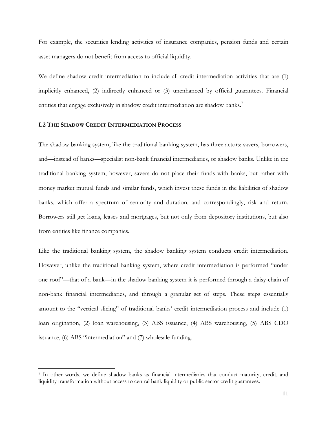For example, the securities lending activities of insurance companies, pension funds and certain asset managers do not benefit from access to official liquidity.

We define shadow credit intermediation to include all credit intermediation activities that are (1) implicitly enhanced, (2) indirectly enhanced or (3) unenhanced by official guarantees. Financial entities that engage exclusively in shadow credit intermediation are shadow banks.<sup>7</sup>

# **I.2 THE SHADOW CREDIT INTERMEDIATION PROCESS**

l

The shadow banking system, like the traditional banking system, has three actors: savers, borrowers, and—instead of banks—specialist non-bank financial intermediaries, or shadow banks. Unlike in the traditional banking system, however, savers do not place their funds with banks, but rather with money market mutual funds and similar funds, which invest these funds in the liabilities of shadow banks, which offer a spectrum of seniority and duration, and correspondingly, risk and return. Borrowers still get loans, leases and mortgages, but not only from depository institutions, but also from entities like finance companies.

Like the traditional banking system, the shadow banking system conducts credit intermediation. However, unlike the traditional banking system, where credit intermediation is performed "under one roof"—that of a bank—in the shadow banking system it is performed through a daisy-chain of non-bank financial intermediaries, and through a granular set of steps. These steps essentially amount to the "vertical slicing" of traditional banks' credit intermediation process and include (1) loan origination, (2) loan warehousing, (3) ABS issuance, (4) ABS warehousing, (5) ABS CDO issuance, (6) ABS "intermediation" and (7) wholesale funding.

<sup>7</sup> In other words, we define shadow banks as financial intermediaries that conduct maturity, credit, and liquidity transformation without access to central bank liquidity or public sector credit guarantees.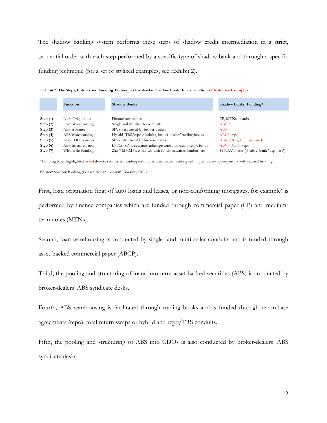The shadow banking system performs these steps of shadow credit intermediation in a strict, sequential order with each step performed by a specific type of shadow bank and through a specific funding technique (for a set of stylized examples, see Exhibit 2).



|            | Function           | <b>Shadow Banks</b>                                            | Shadow Banks' Funding*                  |
|------------|--------------------|----------------------------------------------------------------|-----------------------------------------|
| Step $(1)$ | Loan Origination   | Finance companies                                              | CP, MTNs, bonds                         |
| Step $(2)$ | Loan Warehousing   | Single and multi-seller conduits                               | <b>ABCP</b>                             |
| Step $(3)$ | ABS Issuance       | SPVs, structured by broker-dealers                             | ABS.                                    |
| Step $(4)$ | ABS Warehousing    | Hybrid, TRS/repo conduits, broker-dealers' trading books       | ABCP, repo                              |
| Step(5)    | ABS CDO Issuance   | SPVs, structured by broker-dealers                             | ABS CDOs, CDO-squareds                  |
| Step $(6)$ | ABS Intermediation | LPFCs, SIVs, securities arbitrage conduits, credit hedge funds | ABCP, MTN, repo                         |
| Step $(7)$ | Wholesale Funding  | $2(a)$ -7 MMMFs, enhanced cash funds, securities lenders, etc. | \$1 NAV shares (shadow bank "deposits") |

\*Funding types highlighted in red denote securitized funding techniques. Securitized funding techniques are *not* synonymous with secured funding.

**Source:** Shadow Banking (Pozsar, Adrian, Ashcraft, Boesky (2010))

First, loan origination (that of auto loans and leases, or non-conforming mortgages, for example) is performed by finance companies which are funded through commercial paper (CP) and mediumterm notes (MTNs).

Second, loan warehousing is conducted by single- and multi-seller conduits and is funded through asset-backed commercial paper (ABCP).

Third, the pooling and structuring of loans into term asset-backed securities (ABS) is conducted by broker-dealers' ABS syndicate desks.

Fourth, ABS warehousing is facilitated through trading books and is funded through repurchase agreements (repo), total return swaps or hybrid and repo/TRS conduits.

Fifth, the pooling and structuring of ABS into CDOs is also conducted by broker-dealers' ABS syndicate desks.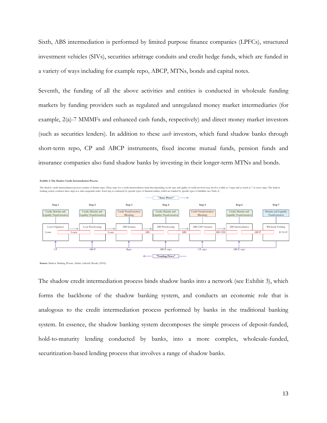Sixth, ABS intermediation is performed by limited purpose finance companies (LPFCs), structured investment vehicles (SIVs), securities arbitrage conduits and credit hedge funds, which are funded in a variety of ways including for example repo, ABCP, MTNs, bonds and capital notes.

Seventh, the funding of all the above activities and entities is conducted in wholesale funding markets by funding providers such as regulated and unregulated money market intermediaries (for example, 2(a)-7 MMMFs and enhanced cash funds, respectively) and direct money market investors (such as securities lenders). In addition to these *cash* investors, which fund shadow banks through short-term repo, CP and ABCP instruments, fixed income mutual funds, pension funds and insurance companies also fund shadow banks by investing in their longer-term MTNs and bonds.



**Source:** Shadow Banking (Pozsar, Adrian, Ashcraft, Boesky (2010))

The shadow credit intermediation process binds shadow banks into a network (see Exhibit 3), which forms the backbone of the shadow banking system, and conducts an economic role that is analogous to the credit intermediation process performed by banks in the traditional banking system. In essence, the shadow banking system decomposes the simple process of deposit-funded, hold-to-maturity lending conducted by banks, into a more complex, wholesale-funded, securitization-based lending process that involves a range of shadow banks.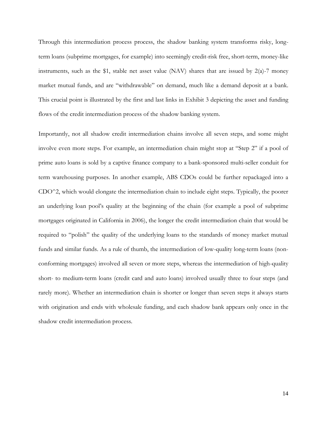Through this intermediation process process, the shadow banking system transforms risky, longterm loans (subprime mortgages, for example) into seemingly credit-risk free, short-term, money-like instruments, such as the \$1, stable net asset value (NAV) shares that are issued by  $2(a)$ -7 money market mutual funds, and are "withdrawable" on demand, much like a demand deposit at a bank. This crucial point is illustrated by the first and last links in Exhibit 3 depicting the asset and funding flows of the credit intermediation process of the shadow banking system.

Importantly, not all shadow credit intermediation chains involve all seven steps, and some might involve even more steps. For example, an intermediation chain might stop at "Step 2" if a pool of prime auto loans is sold by a captive finance company to a bank-sponsored multi-seller conduit for term warehousing purposes. In another example, ABS CDOs could be further repackaged into a CDO^2, which would elongate the intermediation chain to include eight steps. Typically, the poorer an underlying loan pool's quality at the beginning of the chain (for example a pool of subprime mortgages originated in California in 2006), the longer the credit intermediation chain that would be required to "polish" the quality of the underlying loans to the standards of money market mutual funds and similar funds. As a rule of thumb, the intermediation of low-quality long-term loans (nonconforming mortgages) involved all seven or more steps, whereas the intermediation of high-quality short- to medium-term loans (credit card and auto loans) involved usually three to four steps (and rarely more). Whether an intermediation chain is shorter or longer than seven steps it always starts with origination and ends with wholesale funding, and each shadow bank appears only once in the shadow credit intermediation process.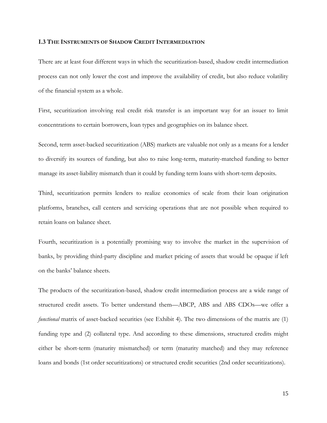# **I.3 THE INSTRUMENTS OF SHADOW CREDIT INTERMEDIATION**

There are at least four different ways in which the securitization-based, shadow credit intermediation process can not only lower the cost and improve the availability of credit, but also reduce volatility of the financial system as a whole.

First, securitization involving real credit risk transfer is an important way for an issuer to limit concentrations to certain borrowers, loan types and geographies on its balance sheet.

Second, term asset-backed securitization (ABS) markets are valuable not only as a means for a lender to diversify its sources of funding, but also to raise long-term, maturity-matched funding to better manage its asset-liability mismatch than it could by funding term loans with short-term deposits.

Third, securitization permits lenders to realize economies of scale from their loan origination platforms, branches, call centers and servicing operations that are not possible when required to retain loans on balance sheet.

Fourth, securitization is a potentially promising way to involve the market in the supervision of banks, by providing third-party discipline and market pricing of assets that would be opaque if left on the banks' balance sheets.

The products of the securitization-based, shadow credit intermediation process are a wide range of structured credit assets. To better understand them—ABCP, ABS and ABS CDOs—we offer a *functional* matrix of asset-backed securities (see Exhibit 4). The two dimensions of the matrix are (1) funding type and (2) collateral type. And according to these dimensions, structured credits might either be short-term (maturity mismatched) or term (maturity matched) and they may reference loans and bonds (1st order securitizations) or structured credit securities (2nd order securitizations).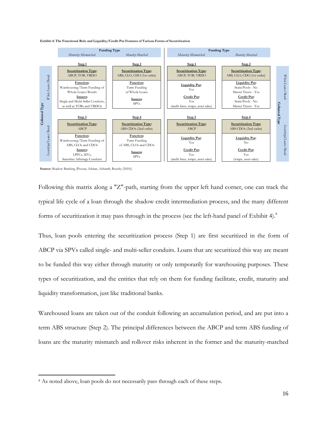



Source: Shadow Banking (Pozsar, Adrian, Ashcraft, Boesky (2010))

l

Following this matrix along a "Z"-path, starting from the upper left hand corner, one can track the typical life cycle of a loan through the shadow credit intermediation process, and the many different forms of securitization it may pass through in the process (see the left-hand panel of Exhibit 4).<sup>8</sup>

Thus, loan pools entering the securitization process (Step 1) are first securitized in the form of ABCP via SPVs called single- and multi-seller conduits. Loans that are securitized this way are meant to be funded this way either through maturity or only temporarily for warehousing purposes. These types of securitization, and the entities that rely on them for funding facilitate, credit, maturity and liquidity transformation, just like traditional banks.

Warehoused loans are taken out of the conduit following an accumulation period, and are put into a term ABS structure (Step 2). The principal differences between the ABCP and term ABS funding of loans are the maturity mismatch and rollover risks inherent in the former and the maturity-matched

<sup>&</sup>lt;sup>8</sup> As noted above, loan pools do not necessarily pass through each of these steps.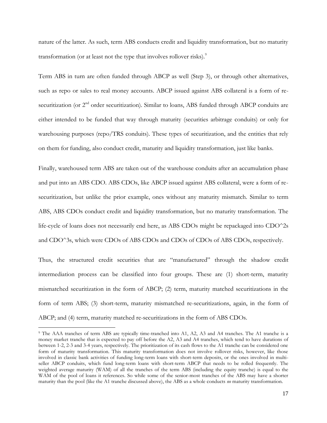nature of the latter. As such, term ABS conducts credit and liquidity transformation, but no maturity transformation (or at least not the type that involves rollover risks).<sup>9</sup>

Term ABS in turn are often funded through ABCP as well (Step 3), or through other alternatives, such as repo or sales to real money accounts. ABCP issued against ABS collateral is a form of resecuritization (or 2<sup>nd</sup> order securitization). Similar to loans, ABS funded through ABCP conduits are either intended to be funded that way through maturity (securities arbitrage conduits) or only for warehousing purposes (repo/TRS conduits). These types of securitization, and the entities that rely on them for funding, also conduct credit, maturity and liquidity transformation, just like banks.

Finally, warehoused term ABS are taken out of the warehouse conduits after an accumulation phase and put into an ABS CDO. ABS CDOs, like ABCP issued against ABS collateral, were a form of resecuritization, but unlike the prior example, ones without any maturity mismatch. Similar to term ABS, ABS CDOs conduct credit and liquidity transformation, but no maturity transformation. The life-cycle of loans does not necessarily end here, as ABS CDOs might be repackaged into CDO^2s and CDO^3s, which were CDOs of ABS CDOs and CDOs of CDOs of ABS CDOs, respectively.

Thus, the structured credit securities that are "manufactured" through the shadow credit intermediation process can be classified into four groups. These are (1) short-term, maturity mismatched securitization in the form of ABCP; (2) term, maturity matched securitizations in the form of term ABS; (3) short-term, maturity mismatched re-securitizations, again, in the form of ABCP; and (4) term, maturity matched re-securitizations in the form of ABS CDOs.

 $\overline{a}$ 

<sup>9</sup> The AAA tranches of term ABS are typically time-tranched into A1, A2, A3 and A4 tranches. The A1 tranche is a money market tranche that is expected to pay off before the A2, A3 and A4 tranches, which tend to have durations of between 1-2, 2-3 and 3-4 years, respectively. The prioritization of its cash flows to the A1 tranche can be considered one form of maturity transformation. This maturity transformation does not involve rollover risks, however, like those involved in classic bank activities of funding long-term loans with short-term deposits, or the ones involved in multiseller ABCP conduits, which fund long-term loans with short-term ABCP that needs to be rolled frequently. The weighted average maturity (WAM) of all the tranches of the term ABS (including the equity tranche) is equal to the WAM of the pool of loans it references. So while some of the senior-most tranches of the ABS may have a shorter maturity than the pool (like the A1 tranche discussed above), the ABS as a whole conducts *no* maturity transformation.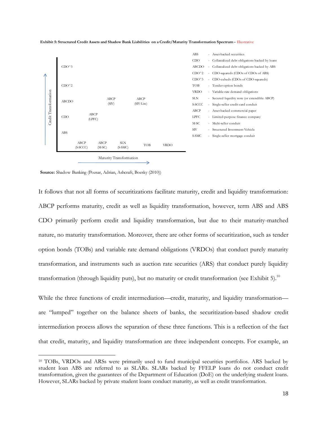

**Exhibit 5: Structured Credit Assets and Shadow Bank Liabilities on a Credit/Maturity Transformation Spectrum - Illustrative** 

**Source:** Shadow Banking (Pozsar, Adrian, Ashcraft, Boesky (2010))

 $\overline{\phantom{a}}$ 

It follows that not all forms of securitizations facilitate maturity, credit and liquidity transformation: ABCP performs maturity, credit as well as liquidity transformation, however, term ABS and ABS CDO primarily perform credit and liquidity transformation, but due to their maturity-matched nature, no maturity transformation. Moreover, there are other forms of securitization, such as tender option bonds (TOBs) and variable rate demand obligations (VRDOs) that conduct purely maturity transformation, and instruments such as auction rate securities (ARS) that conduct purely liquidity transformation (through liquidity puts), but no maturity or credit transformation (see Exhibit 5).<sup>10</sup>

While the three functions of credit intermediation—credit, maturity, and liquidity transformation are "lumped" together on the balance sheets of banks, the securitization-based shadow credit intermediation process allows the separation of these three functions. This is a reflection of the fact that credit, maturity, and liquidity transformation are three independent concepts. For example, an

<sup>10</sup> TOBs, VRDOs and ARSs were primarily used to fund municipal securities portfolios. ARS backed by student loan ABS are referred to as SLARs. SLARs backed by FFELP loans do not conduct credit transformation, given the guarantees of the Department of Education (DoE) on the underlying student loans. However, SLARs backed by private student loans conduct maturity, as well as credit transformation.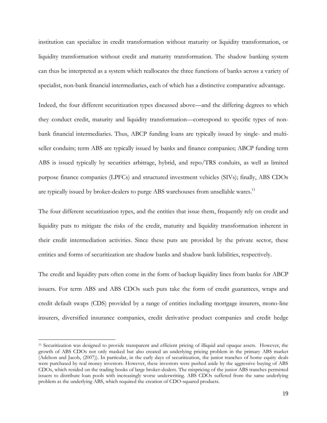institution can specialize in credit transformation without maturity or liquidity transformation, or liquidity transformation without credit and maturity transformation. The shadow banking system can thus be interpreted as a system which reallocates the three functions of banks across a variety of specialist, non-bank financial intermediaries, each of which has a distinctive comparative advantage.

Indeed, the four different securitization types discussed above—and the differing degrees to which they conduct credit, maturity and liquidity transformation—correspond to specific types of nonbank financial intermediaries. Thus, ABCP funding loans are typically issued by single- and multiseller conduits; term ABS are typically issued by banks and finance companies; ABCP funding term ABS is issued typically by securities arbitrage, hybrid, and repo/TRS conduits, as well as limited purpose finance companies (LPFCs) and structured investment vehicles (SIVs); finally, ABS CDOs are typically issued by broker-dealers to purge ABS warehouses from unsellable wares.<sup>11</sup>

The four different securitization types, and the entities that issue them, frequently rely on credit and liquidity puts to mitigate the risks of the credit, maturity and liquidity transformation inherent in their credit intermediation activities. Since these puts are provided by the private sector, these entities and forms of securitization are shadow banks and shadow bank liabilities, respectively.

The credit and liquidity puts often come in the form of backup liquidity lines from banks for ABCP issuers. For term ABS and ABS CDOs such puts take the form of credit guarantees, wraps and credit default swaps (CDS) provided by a range of entities including mortgage insurers, mono-line insurers, diversified insurance companies, credit derivative product companies and credit hedge

l

<sup>11</sup> Securitization was designed to provide transparent and efficient pricing of illiquid and opaque assets. However, the growth of ABS CDOs not only masked but also created an underlying pricing problem in the primary ABS market (Adelson and Jacob, (2007)). In particular, in the early days of securitization, the junior tranches of home equity deals were purchased by real money investors. However, these investors were pushed aside by the aggressive buying of ABS CDOs, which resided on the trading books of large broker-dealers. The mispricing of the junior ABS tranches permitted issuers to distribute loan pools with increasingly worse underwriting. ABS CDOs suffered from the same underlying problem as the underlying ABS, which required the creation of CDO-squared products.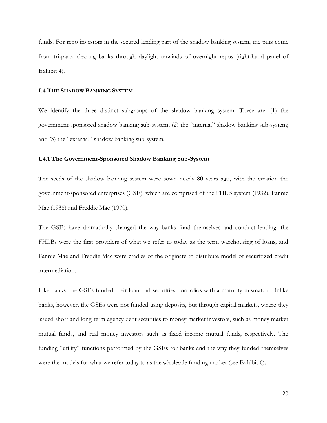funds. For repo investors in the secured lending part of the shadow banking system, the puts come from tri-party clearing banks through daylight unwinds of overnight repos (right-hand panel of Exhibit 4).

#### **I.4 THE SHADOW BANKING SYSTEM**

We identify the three distinct subgroups of the shadow banking system. These are: (1) the government-sponsored shadow banking sub-system; (2) the "internal" shadow banking sub-system; and (3) the "external" shadow banking sub-system.

# **I.4.1 The Government-Sponsored Shadow Banking Sub-System**

The seeds of the shadow banking system were sown nearly 80 years ago, with the creation the government-sponsored enterprises (GSE), which are comprised of the FHLB system (1932), Fannie Mae (1938) and Freddie Mac (1970).

The GSEs have dramatically changed the way banks fund themselves and conduct lending: the FHLBs were the first providers of what we refer to today as the term warehousing of loans, and Fannie Mae and Freddie Mac were cradles of the originate-to-distribute model of securitized credit intermediation.

Like banks, the GSEs funded their loan and securities portfolios with a maturity mismatch. Unlike banks, however, the GSEs were not funded using deposits, but through capital markets, where they issued short and long-term agency debt securities to money market investors, such as money market mutual funds, and real money investors such as fixed income mutual funds, respectively. The funding "utility" functions performed by the GSEs for banks and the way they funded themselves were the models for what we refer today to as the wholesale funding market (see Exhibit 6).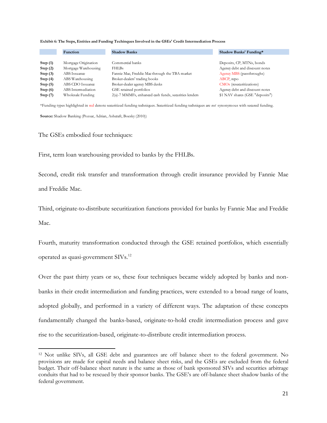|            | <b>Function</b>      | <b>Shadow Banks</b>                                   | Shadow Banks' Funding*               |
|------------|----------------------|-------------------------------------------------------|--------------------------------------|
|            |                      |                                                       |                                      |
| Step $(1)$ | Mortgage Origination | Commercial banks                                      | Deposits, CP, MTNs, bonds            |
| Step $(2)$ | Mortgage Warehousing | FHLBs                                                 | Agency debt and discount notes       |
| Step $(3)$ | ABS Issuance         | Fannie Mae, Freddie Mac through the TBA market        | Agency MBS (passthroughs)            |
| Step $(4)$ | ABS Warehousing      | Broker-dealers' trading books                         | ABCP, repo                           |
| Step $(5)$ | ABS CDO Issuance     | Broker-dealer agency MBS desks                        | CMO <sub>s</sub> (researritizations) |
| Step $(6)$ | ABS Intermediation   | GSE retained portfolios                               | Agency debt and discount notes       |
| Step $(7)$ | Wholesale Funding    | 2(a)-7 MMMFs, enhanced cash funds, securities lenders | \$1 NAV shares (GSE "deposits")      |

**Exhibit 6: The Steps, Entities and Funding Techinques Involved in the GSEs' Credit Intermediation Process**

\*Funding types highlighted in red denote securitized funding techniques. Securitized funding techniques are *not* synonymous with secured funding.

**Source:** Shadow Banking (Pozsar, Adrian, Ashcraft, Boesky (2010))

The GSEs embodied four techniques:

 $\overline{a}$ 

First, term loan warehousing provided to banks by the FHLBs.

Second, credit risk transfer and transformation through credit insurance provided by Fannie Mae and Freddie Mac.

Third, originate-to-distribute securitization functions provided for banks by Fannie Mae and Freddie Mac.

Fourth, maturity transformation conducted through the GSE retained portfolios, which essentially operated as quasi-government SIVs.<sup>12</sup>

Over the past thirty years or so, these four techniques became widely adopted by banks and nonbanks in their credit intermediation and funding practices, were extended to a broad range of loans, adopted globally, and performed in a variety of different ways. The adaptation of these concepts fundamentally changed the banks-based, originate-to-hold credit intermediation process and gave rise to the securitization-based, originate-to-distribute credit intermediation process.

<sup>12</sup> Not unlike SIVs, all GSE debt and guarantees are off balance sheet to the federal government. No provisions are made for capital needs and balance sheet risks, and the GSEs are excluded from the federal budget. Their off-balance sheet nature is the same as those of bank sponsored SIVs and securities arbitrage conduits that had to be rescued by their sponsor banks. The GSE's are off-balance sheet shadow banks of the federal government.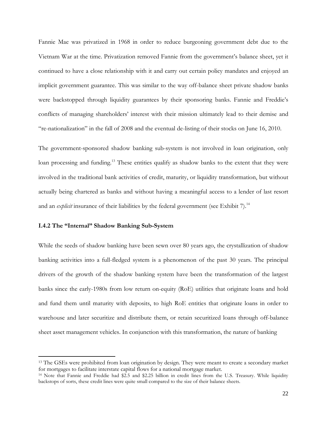Fannie Mae was privatized in 1968 in order to reduce burgeoning government debt due to the Vietnam War at the time. Privatization removed Fannie from the government's balance sheet, yet it continued to have a close relationship with it and carry out certain policy mandates and enjoyed an implicit government guarantee. This was similar to the way off-balance sheet private shadow banks were backstopped through liquidity guarantees by their sponsoring banks. Fannie and Freddie's conflicts of managing shareholders' interest with their mission ultimately lead to their demise and ―re-nationalization‖ in the fall of 2008 and the eventual de-listing of their stocks on June 16, 2010.

The government-sponsored shadow banking sub-system is not involved in loan origination, only loan processing and funding.<sup>13</sup> These entities qualify as shadow banks to the extent that they were involved in the traditional bank activities of credit, maturity, or liquidity transformation, but without actually being chartered as banks and without having a meaningful access to a lender of last resort and an *explicit* insurance of their liabilities by the federal government (see Exhibit 7).<sup>14</sup>

# **I.4.2 The ―Internal‖ Shadow Banking Sub-System**

 $\overline{a}$ 

While the seeds of shadow banking have been sewn over 80 years ago, the crystallization of shadow banking activities into a full-fledged system is a phenomenon of the past 30 years. The principal drivers of the growth of the shadow banking system have been the transformation of the largest banks since the early-1980s from low return on-equity (RoE) utilities that originate loans and hold and fund them until maturity with deposits, to high RoE entities that originate loans in order to warehouse and later securitize and distribute them, or retain securitized loans through off-balance sheet asset management vehicles. In conjunction with this transformation, the nature of banking

<sup>&</sup>lt;sup>13</sup> The GSEs were prohibited from loan origination by design. They were meant to create a secondary market for mortgages to facilitate interstate capital flows for a national mortgage market.

<sup>14</sup> Note that Fannie and Freddie had \$2.5 and \$2.25 billion in credit lines from the U.S. Treasury. While liquidity backstops of sorts, these credit lines were quite small compared to the size of their balance sheets.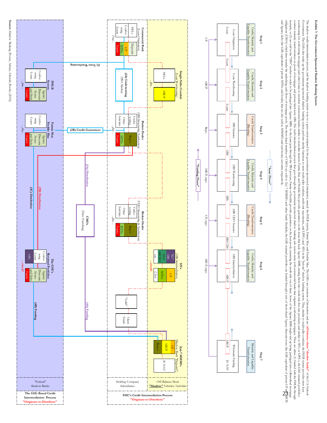

# Exhibit 7: The Government-Sponsored Shadow Banking System **Exhibit 7: The Government-Sponsored Shadow Banking System**

and Agency debt (the GSE equivalents of private MTNs and bonds) that are also sold to MMMFs and real money accounts, respectively. matriiy, or (2) as sold in he "TBN" mater in order to be packeged into Agenty Mathematic Accorde generaties on the bom pook, savaning the credit rest one of the children Some of the CB and the contenting of the CB and the obigations (CMC)sy hiera-tracke the underlying cash-Row of monogle pools. The substantial pools in the GSE retained portfolios are trund is substanting the GSE retained portfolios are trund as Shift-and other trads. Simila maturity, or (2) are sold in the packged into Agency MBS. As the loan pass through the TBA. As the boas should the TBA. As the basis through the TBA. As the loan pass through the TBA. As the loan pools, ass through the TBA conduct materity terms of the construction of the codit intermediation process that goes the government-sponsored shalow banking sub-system starts with commercial banks that original commercial banks that commercial banks warehousing for one the asternal banks, which as the moment of the complet of the and Feeddie Mac povide guarantees on the part bank house that back Agency MIS, turning the moment similar to 55 1 ceration of the GSE retain The shadow credit intermediation process, and the shadow banking system were to a great marking and responsed enterprises, namely the FFULB system were to a and Freedie Mac. The GSEs are creations of have and recording sys The shadow credit intermediation prove as a state and a strate credit inchine in a space of conservistion and the Blue and Frank Mac. The GSEs are creations of have makers and are of the USE of the USE of the USE are creat **off-balance sheet "shadow banks"**of the U.S. Federal

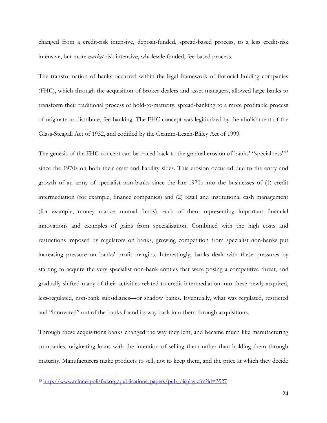changed from a credit-risk intensive, deposit-funded, spread-based process, to a less credit-risk intensive, but more *market*-risk intensive, wholesale funded, fee-based process.

The transformation of banks occurred within the legal framework of financial holding companies (FHC), which through the acquisition of broker-dealers and asset managers, allowed large banks to transform their traditional process of hold-to-maturity, spread-banking to a more profitable process of originate-to-distribute, fee-banking. The FHC concept was legitimized by the abolishment of the Glass-Steagall Act of 1932, and codified by the Gramm-Leach-Bliley Act of 1999.

The genesis of the FHC concept can be traced back to the gradual erosion of banks' "specialness"<sup>15</sup> since the 1970s on both their asset and liability sides. This erosion occurred due to the entry and growth of an army of specialist non-banks since the late-1970s into the businesses of (1) credit intermediation (for example, finance companies) and (2) retail and institutional cash management (for example, money market mutual funds), each of them representing important financial innovations and examples of gains from specialization. Combined with the high costs and restrictions imposed by regulators on banks, growing competition from specialist non-banks put increasing pressure on banks' profit margins. Interestingly, banks dealt with these pressures by starting to acquire the very specialist non-bank entities that were posing a competitive threat, and gradually shifted many of their activities related to credit intermediation into these newly acquired, less-regulated, non-bank subsidiaries—or shadow banks. Eventually, what was regulated, restricted and "innovated" out of the banks found its way back into them through acquisitions.

Through these acquisitions banks changed the way they lent, and became much like manufacturing companies, originating loans with the intention of selling them rather than holding them through maturity. Manufacturers make products to sell, not to keep them, and the price at which they decide

l

<sup>15</sup> [http://www.minneapolisfed.org/publications\\_papers/pub\\_display.cfm?id=3527](http://www.minneapolisfed.org/publications_papers/pub_display.cfm?id=3527)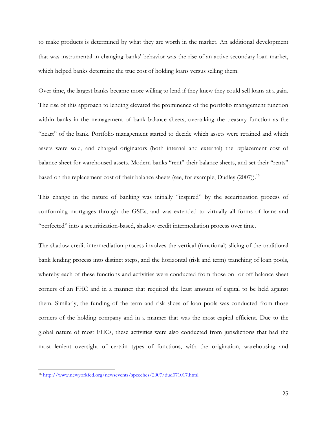to make products is determined by what they are worth in the market. An additional development that was instrumental in changing banks' behavior was the rise of an active secondary loan market, which helped banks determine the true cost of holding loans versus selling them.

Over time, the largest banks became more willing to lend if they knew they could sell loans at a gain. The rise of this approach to lending elevated the prominence of the portfolio management function within banks in the management of bank balance sheets, overtaking the treasury function as the ―heart‖ of the bank. Portfolio management started to decide which assets were retained and which assets were sold, and charged originators (both internal and external) the replacement cost of balance sheet for warehoused assets. Modern banks "rent" their balance sheets, and set their "rents" based on the replacement cost of their balance sheets (see, for example, Dudley (2007)).<sup>16</sup>

This change in the nature of banking was initially "inspired" by the securitization process of conforming mortgages through the GSEs, and was extended to virtually all forms of loans and ―perfected‖ into a securitization-based, shadow credit intermediation process over time.

The shadow credit intermediation process involves the vertical (functional) slicing of the traditional bank lending process into distinct steps, and the horizontal (risk and term) tranching of loan pools, whereby each of these functions and activities were conducted from those on- or off-balance sheet corners of an FHC and in a manner that required the least amount of capital to be held against them. Similarly, the funding of the term and risk slices of loan pools was conducted from those corners of the holding company and in a manner that was the most capital efficient. Due to the global nature of most FHCs, these activities were also conducted from jurisdictions that had the most lenient oversight of certain types of functions, with the origination, warehousing and

 $\overline{\phantom{a}}$ 

<sup>16</sup> <http://www.newyorkfed.org/newsevents/speeches/2007/dud071017.html>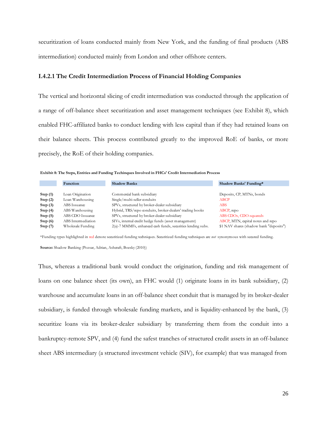securitization of loans conducted mainly from New York, and the funding of final products (ABS intermediation) conducted mainly from London and other offshore centers.

# **I.4.2.1 The Credit Intermediation Process of Financial Holding Companies**

The vertical and horizontal slicing of credit intermediation was conducted through the application of a range of off-balance sheet securitization and asset management techniques (see Exhibit 8), which enabled FHC-affiliated banks to conduct lending with less capital than if they had retained loans on their balance sheets. This process contributed greatly to the improved RoE of banks, or more precisely, the RoE of their holding companies.

|            | Function           | <b>Shadow Banks</b>                                            | Shadow Banks' Funding*                  |
|------------|--------------------|----------------------------------------------------------------|-----------------------------------------|
|            |                    |                                                                |                                         |
| Step $(1)$ | Loan Origination   | Commercial bank subsidiary                                     | Deposits, CP, MTNs, bonds               |
| Step $(2)$ | Loan Warehousing   | Single/multi-seller conduits                                   | <b>ABCP</b>                             |
| Step $(3)$ | ABS Issuance       | SPVs, structured by broker-dealer subsidiary                   | ABS                                     |
| Step $(4)$ | ABS Warehousing    | Hybrid, TRS/repo conduits, broker-dealers' trading books       | ABCP, repo                              |
| Step $(5)$ | ABS CDO Issuance   | SPVs, structured by broker-dealer subsidiary                   | ABS CDO <sub>s</sub> , CDO-squareds     |
| Step $(6)$ | ABS Intermediation | SIVs, internal credit hedge funds (asset management)           | ABCP, MTN, capital notes and repo       |
| Step $(7)$ | Wholesale Funding  | $2(a)$ -7 MMMFs, enhanced cash funds, securities lending subs. | \$1 NAV shares (shadow bank "deposits") |

**Exhibit 8: The Steps, Entities and Funding Techinques Involved in FHCs' Credit Intermediation Process**

\*Funding types highlighted in red denote securitized funding techniques. Securitized funding techniques are *not* synonymous with secured funding.

Source: Shadow Banking (Pozsar, Adrian, Ashcraft, Boesky (2010))

Thus, whereas a traditional bank would conduct the origination, funding and risk management of loans on one balance sheet (its own), an FHC would (1) originate loans in its bank subsidiary, (2) warehouse and accumulate loans in an off-balance sheet conduit that is managed by its broker-dealer subsidiary, is funded through wholesale funding markets, and is liquidity-enhanced by the bank, (3) securitize loans via its broker-dealer subsidiary by transferring them from the conduit into a bankruptcy-remote SPV, and (4) fund the safest tranches of structured credit assets in an off-balance sheet ABS intermediary (a structured investment vehicle (SIV), for example) that was managed from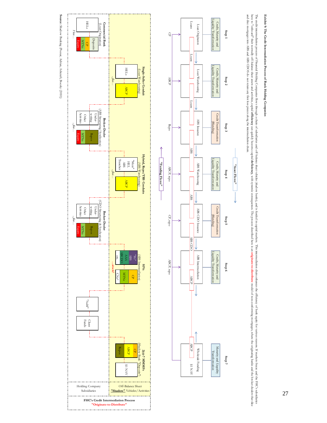# Exhibit 9: The Credit Intermediation Process of Bank Holding Companies **Exhibit 9: The Credit Intermediation Process of Bank Holding Companies**

and dice mortgages into ABS and ABS CDOS do not retain any first loss pieces along the intermediation chain. have to "onboard" their corrally of balance sheet assess and advising the process providing the process described here is an originate-to-distribute model of non-conforming mongages, where the origination balance originati The credit intermediation process of Financial Company and the post of the property of the company of the company of the company of the company of the company of the intermediation changes of the street of the company of t and dice mortgages into ABS and ABS CDOS do not retain any first loss pieces along the intermediation chain. have to "onboard" their normally off-balance sheet assets and activities, capital The credit internal process of Financial Advisors that a diversal and the state where we are ally and is funded in capital markets. This internediation channel and of the state of the state of a shalow bankets shadow banke **efficiency** can quickly become capital , with systemic consequences. The process described here is an **originate-to-distribute**model of non-conforming mortgages, where the originating banks and the broker-dealers that slice



27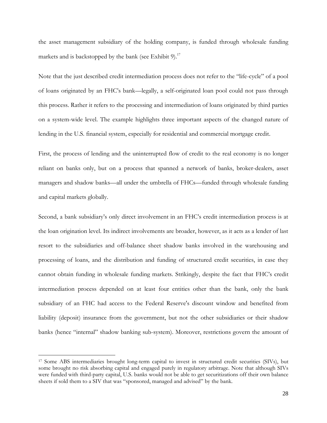the asset management subsidiary of the holding company, is funded through wholesale funding markets and is backstopped by the bank (see Exhibit 9).<sup>17</sup>

Note that the just described credit intermediation process does not refer to the "life-cycle" of a pool of loans originated by an FHC's bank—legally, a self-originated loan pool could not pass through this process. Rather it refers to the processing and intermediation of loans originated by third parties on a system-wide level. The example highlights three important aspects of the changed nature of lending in the U.S. financial system, especially for residential and commercial mortgage credit.

First, the process of lending and the uninterrupted flow of credit to the real economy is no longer reliant on banks only, but on a process that spanned a network of banks, broker-dealers, asset managers and shadow banks—all under the umbrella of FHCs—funded through wholesale funding and capital markets globally.

Second, a bank subsidiary's only direct involvement in an FHC's credit intermediation process is at the loan origination level. Its indirect involvements are broader, however, as it acts as a lender of last resort to the subsidiaries and off-balance sheet shadow banks involved in the warehousing and processing of loans, and the distribution and funding of structured credit securities, in case they cannot obtain funding in wholesale funding markets. Strikingly, despite the fact that FHC's credit intermediation process depended on at least four entities other than the bank, only the bank subsidiary of an FHC had access to the Federal Reserve's discount window and benefited from liability (deposit) insurance from the government, but not the other subsidiaries or their shadow banks (hence "internal" shadow banking sub-system). Moreover, restrictions govern the amount of

 $\overline{\phantom{a}}$ 

<sup>&</sup>lt;sup>17</sup> Some ABS intermediaries brought long-term capital to invest in structured credit securities (SIVs), but some brought no risk absorbing capital and engaged purely in regulatory arbitrage. Note that although SIVs were funded with third-party capital, U.S. banks would not be able to get securitizations off their own balance sheets if sold them to a SIV that was "sponsored, managed and advised" by the bank.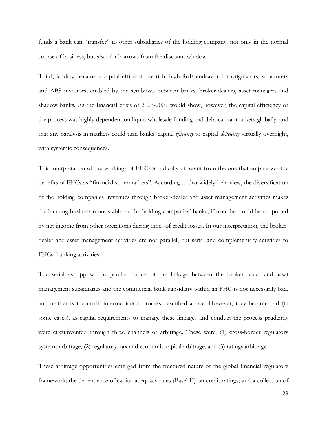funds a bank can "transfer" to other subsidiaries of the holding company, not only in the normal course of business, but also if it borrows from the discount window.

Third, lending became a capital efficient, fee-rich, high-RoE endeavor for originators, structurers and ABS investors, enabled by the symbiosis between banks, broker-dealers, asset managers and shadow banks. As the financial crisis of 2007-2009 would show, however, the capital efficiency of the process was highly dependent on liquid wholesale funding and debt capital markets globally, and that any paralysis in markets could turn banks' capital *efficiency* to capital *deficiency* virtually overnight, with systemic consequences.

This interpretation of the workings of FHCs is radically different from the one that emphasizes the benefits of FHCs as "financial supermarkets". According to that widely-held view, the diversification of the holding companies' revenues through broker-dealer and asset management activities makes the banking business more stable, as the holding companies' banks, if need be, could be supported by net income from other operations during times of credit losses. In our interpretation, the brokerdealer and asset management activities are not parallel, but serial and complementary activities to FHCs' banking activities.

The serial as opposed to parallel nature of the linkage between the broker-dealer and asset management subsidiaries and the commercial bank subsidiary within an FHC is not necessarily bad, and neither is the credit intermediation process described above. However, they became bad (in some cases), as capital requirements to manage these linkages and conduct the process prudently were circumvented through three channels of arbitrage. These were: (1) cross-border regulatory systems arbitrage, (2) regulatory, tax and economic capital arbitrage, and (3) ratings arbitrage.

These arbitrage opportunities emerged from the fractured nature of the global financial regulatory framework; the dependence of capital adequacy rules (Basel II) on credit ratings; and a collection of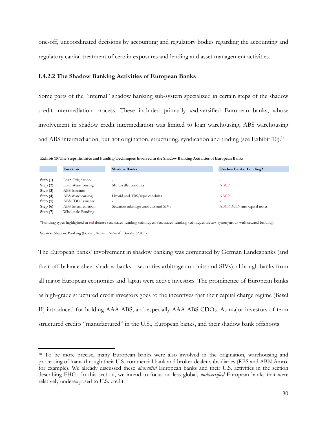one-off, uncoordinated decisions by accounting and regulatory bodies regarding the accounting and regulatory capital treatment of certain exposures and lending and asset management activities.

### **I.4.2.2 The Shadow Banking Activities of European Banks**

Some parts of the "internal" shadow banking sub-system specialized in certain steps of the shadow credit intermediation process. These included primarily *un*diversified European banks, whose involvement in shadow credit intermediation was limited to loan warehousing, ABS warehousing and ABS intermediation, but not origination, structuring, syndication and trading (see Exhibit 10).<sup>18</sup>

**Exhibit 10: The Steps, Entities and Funding Techinques Involved in the Shadow Banking Activities of European Banks**

|            | Function           | <b>Shadow Banks</b>                    | Shadow Banks' Funding*      |
|------------|--------------------|----------------------------------------|-----------------------------|
|            |                    |                                        |                             |
| Step(1)    | Loan Origination   |                                        | $\sim$                      |
| Step (2)   | Loan Warehousing   | Multi-seller conduits                  | <b>ABCP</b>                 |
| Step(3)    | ABS Issuance       |                                        | $\sim$                      |
| Step $(4)$ | ABS Warehousing    | Hybrid and TRS/repo conduits           | <b>ABCP</b>                 |
| Step(5)    | ABS CDO Issuance   |                                        | $\sim$                      |
| Step(6)    | ABS Intermediation | Securities arbitrage conduits and SIVs | ABCP, MTN and capital notes |
| Step $(7)$ | Wholesale Funding  |                                        |                             |

\*Funding types highlighted in red denote securitized funding techniques. Securitized funding techniques are *not* synonymous with secured funding.

**Source:** Shadow Banking (Pozsar, Adrian, Ashcraft, Boesky (2010))

 $\overline{a}$ 

The European banks' involvement in shadow banking was dominated by German Landesbanks (and their off-balance sheet shadow banks—securities arbitrage conduits and SIVs), although banks from all major European economies and Japan were active investors. The prominence of European banks as high-grade structured credit investors goes to the incentives that their capital charge regime (Basel II) introduced for holding AAA ABS, and especially AAA ABS CDOs. As major investors of term structured credits "manufactured" in the U.S., European banks, and their shadow bank offshoots

<sup>18</sup> To be more precise, many European banks were also involved in the origination, warehousing and processing of loans through their U.S. commercial bank and broker-dealer subsidiaries (RBS and ABN Amro, for example). We already discussed these *diversified* European banks and their U.S. activities in the section describing FHCs. In this section, we intend to focus on less global, *undiversified* European banks that were relatively underexposed to U.S. credit.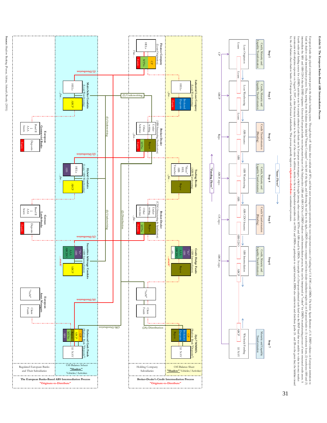





### Exhibit 11: The European Banks-Based ABS Intermediation Process **Exhibit 11: The European Banks-Based ABS Intermediation Process**

by the off-balance sheet shadow banks of European banks and German Landesbanks. This process generally supports arvements with value coposure on August 2007, a date that many consider to be the cost in addition, included to the cost independent specialists rely on HHG and Displays a gate secopers to conduct and 216 on the geten line fourth outlet and inding source for example cata for the catarized as a light catarization in the outlet securities) MTNs and ABS issued by DBDs. An example of a European catable to value to rear and partical catable to va metrate the ABS CDO sthat the DBD originates. Given the Endine Coronthal extent in the stand MS CDOs) of DBD's shall over credit intermediation provess, they can be interpreted as "0.1008) of DBD's shallow receivit interme  $\limsup_{n \to \infty} \frac{1}{n}$  and  $\limsup_{n \to \infty} \frac{1}{n}$  for the block of  $\limsup_{n \to \infty} \frac{1}{n}$  on the kett of the figure and following the red ince and following the red ince to the figure and following the red ince to the figure co European banks die mportant part in the shadow banking system. Through basies the search and ally and their asset management operations they were important so the incomplex of finding for US. HCs and DBDS, The below figure **originate-to-distribute**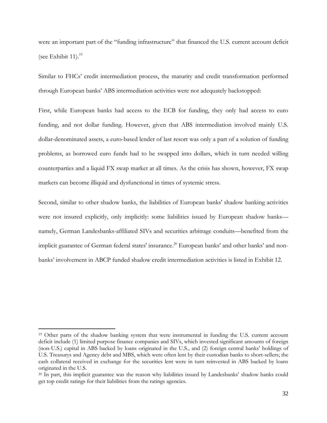were an important part of the "funding infrastructure" that financed the U.S. current account deficit (see Exhibit 11). $19$ 

Similar to FHCs' credit intermediation process, the maturity and credit transformation performed through European banks' ABS intermediation activities were not adequately backstopped:

First, while European banks had access to the ECB for funding, they only had access to euro funding, and not dollar funding. However, given that ABS intermediation involved mainly U.S. dollar-denominated assets, a euro-based lender of last resort was only a part of a solution of funding problems, as borrowed euro funds had to be swapped into dollars, which in turn needed willing counterparties and a liquid FX swap market at all times. As the crisis has shown, however, FX swap markets can become illiquid and dysfunctional in times of systemic stress.

Second, similar to other shadow banks, the liabilities of European banks' shadow banking activities were not insured explicitly, only implicitly: some liabilities issued by European shadow banks namely, German Landesbanks-affiliated SIVs and securities arbitrage conduits—benefited from the implicit guarantee of German federal states' insurance.<sup>20</sup> European banks' and other banks' and nonbanks' involvement in ABCP funded shadow credit intermediation activities is listed in Exhibit 12.

l

<sup>&</sup>lt;sup>19</sup> Other parts of the shadow banking system that were instrumental in funding the U.S. current account deficit include (1) limited purpose finance companies and SIVs, which invested significant amounts of foreign (non-U.S.) capital in ABS backed by loans originated in the U.S., and (2) foreign central banks' holdings of U.S. Treasurys and Agency debt and MBS, which were often lent by their custodian banks to short-sellers; the cash collateral received in exchange for the securities lent were in turn reinvested in ABS backed by loans originated in the U.S.

<sup>&</sup>lt;sup>20</sup> In part, this implicit guarantee was the reason why liabilities issued by Landesbanks' shadow banks could get top credit ratings for their liabilities from the ratings agencies.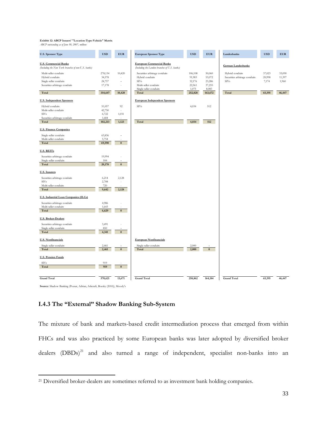**Exhibit 12: ABCP Issuers' "Location-Type-Vehicle" Matrix** *ABCP outstanding as of June 30, 2007, millions*

**U.S. Sponsor Type USD EUR European Sponsor Type USD EUR Landesbanks USD EUR U.S. Commercial Banks,**  *(Including the New York branches of non-U.S. banks)* **European Commercial Banks,**  *(Including the London branches of U.S. banks)* **German Landesbanks** Multi-seller conduits 278,134 10,420 Securities arbitrage conduits 106,108 50,060 Hybrid conduits 37,023 33,090<br>11,397 - Hybrid conduits 34,578 - Hybrid conduits 10,488 53,072 Securities arbitrage conduits 20,998 11,397 Hybrid conduits and the conduits 34,578 - Hybrid conduits 91,983 53,072 Securities arbitrage conduits 20,998 11,397<br>Sinele-seller conduits 24.757 - SIVs 32.176 23.286 SIVs 7174 1.960 Single-seller conduits 24,757 **-** SIVs 32,176 23,286 SIVs 7,174 1,960 Securities arbitrage conduits 17,178 - Multi-seller conduits 22,561 37,255 37,255 - Multi-seller conduits 22,561 37,255 - 8,083 Single-seller conduits 1,075 8,083<br> **163,672 163,672 Total 354,647 10,420 Total 252,828 163,672 Total 65,195 46,447 U.S. Independent Sponsors European Independent Sponsors** Hybrid conduits 51,057 92 SIVs 4,034 512 Multi-seller conduits  $42,750$ <br>SIVs  $6,722$  1,031 SIVs 6,722 1,031 Securities arbitrage conduits 1,684 -**Total 102,213 1,123 Total 4,034 512 U.S. Finance Company**  $\text{Single-seller conditions} \tag{3.836}$ Multi-seller conduits 5,754 **Total 69,590 0 U.S. REITs** Securities arbitrage conduits 19,994<br>Single-seller conduits 184 Single-seller conduits **Total 20,178 0 U.S.** 1 Securities arbitrage conduits  $6,214$  2,128<br>SIVs 2,708  $SIVs$  2,708 -Multi-seller conduits 720 - **Total 9,642 2,128 U.S. Industrial Loan Companies (ILCs)** Securities arbitrage conduits 4,986  $\begin{array}{|l|c|c|}\hline \text{Multi-seller conditions} & 1,643 \\ \hline \textbf{Total} & \textbf{6,629}\\ \hline \end{array}$ **Total 6,629 0 U.S. Broker-Dealers** Securities arbitrage conduits 3,491<br>Single-seller conduits 350 Single-seller conduits **Total 4,341 0 U.S. Nonfinancials European Nonfinancials** Single-seller conduits<br> **12,461 12,461 12,461 12,461 12,461 12,461 12,000 12,000 1 Total 2,461 0 Total 2,000 0 U.S. Pension Funds**  $SIVs$  919 -**Total 919 0 Grand Total 570,621 13,671 Grand Total 258,862 164,184 Grand Total 65,195 46,447 Source:** Shadow Banking (Pozsar, Adrian, Ashcraft, Boesky (2010)), Moody's

l

### **I.4.3 The ―External‖ Shadow Banking Sub-System**

The mixture of bank and markets-based credit intermediation process that emerged from within FHCs and was also practiced by some European banks was later adopted by diversified broker dealers (DBDs)<sup>21</sup> and also turned a range of independent, specialist non-banks into an

<sup>&</sup>lt;sup>21</sup> Diversified broker-dealers are sometimes referred to as investment bank holding companies.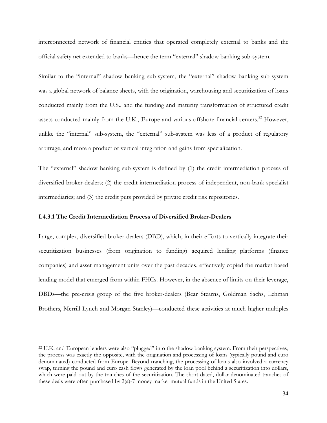interconnected network of financial entities that operated completely external to banks and the official safety net extended to banks—hence the term "external" shadow banking sub-system.

Similar to the "internal" shadow banking sub-system, the "external" shadow banking sub-system was a global network of balance sheets, with the origination, warehousing and securitization of loans conducted mainly from the U.S., and the funding and maturity transformation of structured credit assets conducted mainly from the U.K., Europe and various offshore financial centers.<sup>22</sup> However, unlike the "internal" sub-system, the "external" sub-system was less of a product of regulatory arbitrage, and more a product of vertical integration and gains from specialization.

The "external" shadow banking sub-system is defined by (1) the credit intermediation process of diversified broker-dealers; (2) the credit intermediation process of independent, non-bank specialist intermediaries; and (3) the credit puts provided by private credit risk repositories.

### **I.4.3.1 The Credit Intermediation Process of Diversified Broker-Dealers**

 $\overline{a}$ 

Large, complex, diversified broker-dealers (DBD), which, in their efforts to vertically integrate their securitization businesses (from origination to funding) acquired lending platforms (finance companies) and asset management units over the past decades, effectively copied the market-based lending model that emerged from within FHCs. However, in the absence of limits on their leverage, DBDs—the pre-crisis group of the five broker-dealers (Bear Stearns, Goldman Sachs, Lehman Brothers, Merrill Lynch and Morgan Stanley)—conducted these activities at much higher multiples

<sup>&</sup>lt;sup>22</sup> U.K. and European lenders were also "plugged" into the shadow banking system. From their perspectives, the process was exactly the opposite, with the origination and processing of loans (typically pound and euro denominated) conducted from Europe. Beyond tranching, the processing of loans also involved a currency swap, turning the pound and euro cash flows generated by the loan pool behind a securitization into dollars, which were paid out by the tranches of the securitization. The short-dated, dollar-denominated tranches of these deals were often purchased by 2(a)-7 money market mutual funds in the United States.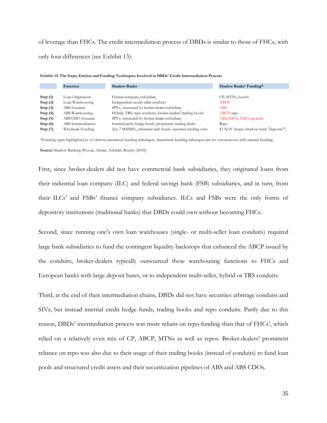of leverage than FHCs. The credit intermediation process of DBDs is similar to those of FHCs, with only four differences (see Exhibit 13):

|            | Function           | <b>Shadow Banks</b>                                            | Shadow Banks' Funding*                  |
|------------|--------------------|----------------------------------------------------------------|-----------------------------------------|
|            |                    |                                                                |                                         |
| Step $(1)$ | Loan Origination   | Finance company subsidiary                                     | CP, MTNs, bonds                         |
| Step $(2)$ | Loan Warehousing   | Independent multi-seller conduits                              | <b>ABCP</b>                             |
| Step $(3)$ | ABS Issuance       | SPVs, structured by broker-dealer subsidiary                   | ABS                                     |
| Step $(4)$ | ABS Warehousing    | Hybrid, TRS/repo conduits, broker-dealers' trading books       | ABCP, repo                              |
| Step $(5)$ | ABS CDO Issuance   | SPVs, structured by broker-dealer subsidiary                   | ABS CDO <sub>s</sub> , CDO-squareds     |
| Step $(6)$ | ABS Intermediation | Internal credit hedge funds, proprietary trading desks         | Repo                                    |
| Step $(7)$ | Wholesale Funding  | $2(a)$ -7 MMMFs, enhanced cash funds, securities lending subs. | \$1 NAV shares (shadow bank "deposits") |

**Exhibit 13: The Steps, Entities and Funding Techinques Involved in DBDs' Credit Intermediation Process**

\*Funding types highlighted in red denote securitized funding techniques. Securitized funding techniques are *not* synonymous with secured funding.

**Source:** Shadow Banking (Pozsar, Adrian, Ashcraft, Boesky (2010))

First, since broker-dealers did not have commercial bank subsidiaries, they originated loans from their industrial loan company (ILC) and federal savings bank (FSB) subsidiaries, and in turn, from their ILCs' and FSBs' finance company subsidiaries. ILCs and FSBs were the only forms of depository institutions (traditional banks) that DBDs could own without becoming FHCs.

Second, since running one's own loan warehouses (single- or multi-seller loan conduits) required large bank subsidiaries to fund the contingent liquidity backstops that enhanced the ABCP issued by the conduits, broker-dealers typically outsourced these warehousing functions to FHCs and European banks with large deposit bases, or to independent multi-seller, hybrid or TRS conduits.

Third, at the end of their intermediation chains, DBDs did not have securities arbitrage conduits and SIVs, but instead internal credit hedge funds, trading books and repo conduits. Partly due to this reason, DBDs' intermediation process was more reliant on repo funding than that of FHCs', which relied on a relatively even mix of CP, ABCP, MTNs as well as repos. Broker-dealers' prominent reliance on repo was also due to their usage of their trading books (instead of conduits) to fund loan pools and structured credit assets and their securitization pipelines of ABS and ABS CDOs.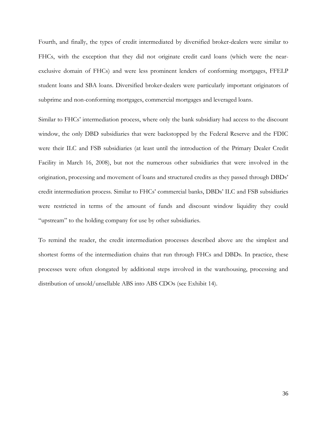Fourth, and finally, the types of credit intermediated by diversified broker-dealers were similar to FHCs, with the exception that they did not originate credit card loans (which were the nearexclusive domain of FHCs) and were less prominent lenders of conforming mortgages, FFELP student loans and SBA loans. Diversified broker-dealers were particularly important originators of subprime and non-conforming mortgages, commercial mortgages and leveraged loans.

Similar to FHCs' intermediation process, where only the bank subsidiary had access to the discount window, the only DBD subsidiaries that were backstopped by the Federal Reserve and the FDIC were their ILC and FSB subsidiaries (at least until the introduction of the Primary Dealer Credit Facility in March 16, 2008), but not the numerous other subsidiaries that were involved in the origination, processing and movement of loans and structured credits as they passed through DBDs' credit intermediation process. Similar to FHCs' commercial banks, DBDs' ILC and FSB subsidiaries were restricted in terms of the amount of funds and discount window liquidity they could "upstream" to the holding company for use by other subsidiaries.

To remind the reader, the credit intermediation processes described above are the simplest and shortest forms of the intermediation chains that run through FHCs and DBDs. In practice, these processes were often elongated by additional steps involved in the warehousing, processing and distribution of unsold/unsellable ABS into ABS CDOs (see Exhibit 14).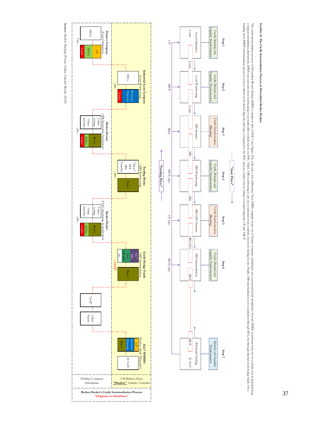## Exhibit 14: The Credit Intermediation Process of Diversified Broker Dealers **Exhibit 14: The Credit Intermediation Process of Diversified Broker Dealers**

The credit intermediation process of Diversitied Broke-Dealers (DBD)s in the antive of the company subsidiation and and the state of the company subsidiation be an and with the second, DBDs vare bensine in the company abso funding level, DBD's intermediation proceess is more reliant on brokered deposits and repo, compared to the FHC process, which is more reliant on branch deposits, CP and ABCP. company subsiduratively. DBDs can outsome to an muhr-subusting to an anity and the U. Third, ABS warehousing is also not conducted from tradiation tradiation tradiation tradiation tradiation tradiation tradiation tradiatio The credit intermediation care in Data-Dealers Debblish School and the compart and the state of the compart substances. First Data the state of the state of the state of the state of the state of the similar only at the st



Source: Shadow Banking (Pozsar, Adrian, Ashcraft, Boesky (2010)) Shadow Banking (Pozsar, Adrian, Ashcraft, Boesky (2010))

j

ļ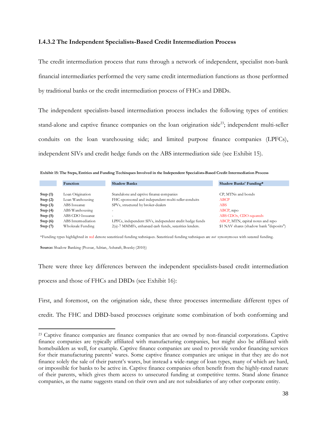### **I.4.3.2 The Independent Specialists-Based Credit Intermediation Process**

The credit intermediation process that runs through a network of independent, specialist non-bank financial intermediaries performed the very same credit intermediation functions as those performed by traditional banks or the credit intermediation process of FHCs and DBDs.

The independent specialists-based intermediation process includes the following types of entities: stand-alone and captive finance companies on the loan origination side<sup>23</sup>; independent multi-seller conduits on the loan warehousing side; and limited purpose finance companies (LPFCs), independent SIVs and credit hedge funds on the ABS intermediation side (see Exhibit 15).

**Exhibit 15: The Steps, Entities and Funding Techinques Involved in the Independent Specialists-Based Credit Intermediation Process**

|            | <b>Function</b>    | <b>Shadow Banks</b>                                     | Shadow Banks' Funding*                  |  |  |  |
|------------|--------------------|---------------------------------------------------------|-----------------------------------------|--|--|--|
|            |                    |                                                         |                                         |  |  |  |
| Step $(1)$ | Loan Origination   | Standalone and captive finance companies                | CP, MTNs and bonds                      |  |  |  |
| Step $(2)$ | Loan Warehousing   | FHC-sponsored and independent multi-seller conduits     | <b>ABCP</b>                             |  |  |  |
| Step $(3)$ | ABS Issuance       | SPVs, structured by broker-dealers                      | ABS                                     |  |  |  |
| Step $(4)$ | ABS Warehousing    |                                                         | ABCP, repo                              |  |  |  |
| Step $(5)$ | ABS CDO Issuance   |                                                         | ABS CDO <sub>s</sub> , CDO-squareds     |  |  |  |
| Step $(6)$ | ABS Intermediation | LPFCs, independent SIVs, independent credit hedge funds | ABCP, MTN, capital notes and repo       |  |  |  |
| Step $(7)$ | Wholesale Funding  | 2(a)-7 MMMFs, enhanced cash funds, securities lenders.  | \$1 NAV shares (shadow bank "deposits") |  |  |  |

\*Funding types highlighted in red denote securitized funding techniques. Securitized funding techniques are *not* synonymous with secured funding.

**Source:** Shadow Banking (Pozsar, Adrian, Ashcraft, Boesky (2010))

l

There were three key differences between the independent specialists-based credit intermediation process and those of FHCs and DBDs (see Exhibit 16):

First, and foremost, on the origination side, these three processes intermediate different types of

credit. The FHC and DBD-based processes originate some combination of both conforming and

<sup>23</sup> Captive finance companies are finance companies that are owned by non-financial corporations. Captive finance companies are typically affiliated with manufacturing companies, but might also be affiliated with homebuilders as well, for example. Captive finance companies are used to provide vendor financing services for their manufacturing parents' wares. Some captive finance companies are unique in that they are do not finance solely the sale of their parent's wares, but instead a wide-range of loan types, many of which are hard, or impossible for banks to be active in. Captive finance companies often benefit from the highly-rated nature of their parents, which gives them access to unsecured funding at competitive terms. Stand alone finance companies, as the name suggests stand on their own and are not subsidiaries of any other corporate entity.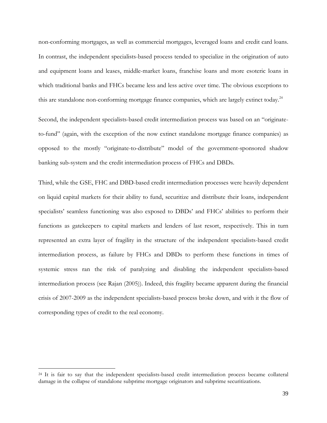non-conforming mortgages, as well as commercial mortgages, leveraged loans and credit card loans. In contrast, the independent specialists-based process tended to specialize in the origination of auto and equipment loans and leases, middle-market loans, franchise loans and more esoteric loans in which traditional banks and FHCs became less and less active over time. The obvious exceptions to this are standalone non-conforming mortgage finance companies, which are largely extinct today.<sup>24</sup>

Second, the independent specialists-based credit intermediation process was based on an "originateto-fund‖ (again, with the exception of the now extinct standalone mortgage finance companies) as opposed to the mostly "originate-to-distribute" model of the government-sponsored shadow banking sub-system and the credit intermediation process of FHCs and DBDs.

Third, while the GSE, FHC and DBD-based credit intermediation processes were heavily dependent on liquid capital markets for their ability to fund, securitize and distribute their loans, independent specialists' seamless functioning was also exposed to DBDs' and FHCs' abilities to perform their functions as gatekeepers to capital markets and lenders of last resort, respectively. This in turn represented an extra layer of fragility in the structure of the independent specialists-based credit intermediation process, as failure by FHCs and DBDs to perform these functions in times of systemic stress ran the risk of paralyzing and disabling the independent specialists-based intermediation process (see Rajan (2005)). Indeed, this fragility became apparent during the financial crisis of 2007-2009 as the independent specialists-based process broke down, and with it the flow of corresponding types of credit to the real economy.

l

<sup>&</sup>lt;sup>24</sup> It is fair to say that the independent specialists-based credit intermediation process became collateral damage in the collapse of standalone subprime mortgage originators and subprime securitizations.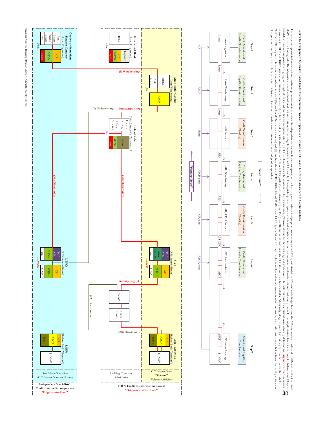**Source:** Shadow Banking (Pozsar, Adrian, Ashcraft, Boesky (2010)) Shadow Banking (Pozsar, Adrian, Ashcraft, Boesky (2010))



Exhibit 16: Independent Specialists-Based Credit Internediation Process - Specialists' Reliance on FHCs and DBDs as Gatekeepers to Capital Markets **Exhibit 16: Independent Specialists-Based Credit Intermediation Process - Specialists' Reliance on FHCs and DBDs as Gatekeepers to Capital Markets**

Loan Originaton

Loans

Loans

Loan

ABS

ABS

ABS CDC

**ABCP** 

Credit, Maturity and Liquidity Transformation

Credit, Maturity and Liquidity Transformation

Credit Transformation (Blending)

> Credit, Maturity and Liquidity Transformation

Credit Transformation (Blending)

**Step 7 Step 1 Step 2 Step 3 Step 4 Step 5 Step 6**

Credit, Maturity and Liquidity Transformation

> Maturity and Liquidity Transformation

Loan Warehousing

ABS Issuance

ABS Warehousing

ABS CDO Issuance

ABS Intermediation

Wholesale Funding

ABCP

\$1 NAV

The indepenent specialise-based cetair internetation process or a special construction and a provide markion SNS and another SNS and evolut helige funds on the ABS incomediation side, and IGIRS and non-bank affilling MAMI' Statdalone France Companies") and going the red line, finance companies religion con particular conduits for both that conduits for  $[0,1]$  ( $C$ -alflinked multi-seller companies rely on (1)  $H(C$ -alflinked multi-seller comp MMH's on the inciting side- Distal incorport incommediation process is highly dependent on File sails and courter on the security dependent on File sails of process is highly dependent on File sails develop records is blin The indepents are devia internediation process contines like independent and cappare in the parpose finance ompanes of the purpose finance ompanes (IDFG) and standalone SIVs and coeline the hedge times of Deviation side; a **originate-to-fund** securitizations FHC process from Figure XX, only those parts of it that are relevant to the credit intermediation process of independent specialists. "I.PlCs tely on broker-dealers the pitch secure that and asked and (2) distribute them to FHC/DBD-affillated MMNFs and IGORS foutlets and IGORS for and IGORS for and 2B, respectively, as well money activation to the Debta

**"Asset Flows"**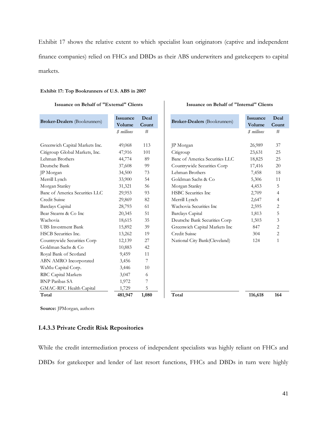Exhibit 17 shows the relative extent to which specialist loan originators (captive and independent finance companies) relied on FHCs and DBDs as their ABS underwriters and gatekeepers to capital markets.

### **Exhibit 17: Top Bookrunners of U.S. ABS in 2007**

### **Issuance on Behalf of "External" Clients Issuance on Behalf of "Internal" Clients**

| <b>Broker-Dealers</b> (Bookrunners) | <b>Issuance</b><br>Volume    | Deal<br>Count | <b>Broker-Dealers</b> (Bookrunners) | <b>Issuance</b><br>Volume    | Deal<br>Count |
|-------------------------------------|------------------------------|---------------|-------------------------------------|------------------------------|---------------|
|                                     | <i><b>&amp;</b></i> millions | #             |                                     | <i><b>&amp; millions</b></i> |               |
|                                     |                              |               |                                     |                              |               |
| Greenwich Capital Markets Inc.      | 49,068                       | 113           | JP Morgan                           | 26,989                       |               |
| Citigroup Global Markets, Inc.      | 47,916                       | 101           | Citigroup                           | 23,631                       |               |
| Lehman Brothers                     | 44,774                       | 89            | Banc of America Securities LLC      | 18,825                       |               |
| Deutsche Bank                       | 37,608                       | 99            | Countrywide Securities Corp         | 17,416                       |               |
| JP Morgan                           | 34,500                       | 73            | Lehman Brothers                     | 7,458                        |               |
| Merrill Lynch                       | 33,900                       | 54            | Goldman Sachs & Co                  | 5,306                        |               |
| Morgan Stanley                      | 31,321                       | 56            | Morgan Stanley                      | 4,453                        |               |
| Banc of America Securities LLC      | 29,953                       | 93            | <b>HSBC</b> Securities Inc          | 2,709                        |               |
| <b>Credit Suisse</b>                | 29,869                       | 82            | Merrill Lynch                       | 2,647                        |               |
| <b>Barclays Capital</b>             | 28,793                       | 61            | Wachovia Securities Inc.            | 2,595                        |               |
| Bear Stearns & Co Inc               | 20,345                       | 51            | <b>Barclays Capital</b>             | 1,813                        |               |
| Wachovia                            | 18,615                       | 35            | Deutsche Bank Securities Corp       | 1,503                        |               |
| <b>UBS</b> Investment Bank          | 15,892                       | 39            | Greenwich Capital Markets Inc       | 847                          |               |
| HSCB Securities Inc.                | 13,262                       | 19            | Credit Suisse                       | 304                          |               |
| Countrywide Securities Corp         | 12,139                       | 27            | National City Bank(Cleveland)       | 124                          |               |
| Goldman Sachs & Co                  | 10,883                       | 42            |                                     |                              |               |
| Royal Bank of Scotland              | 9,459                        | 11            |                                     |                              |               |
| ABN AMRO Incorporated               | 3,456                        | 7             |                                     |                              |               |
| WaMu Capital Corp.                  | 3,446                        | 10            |                                     |                              |               |
| RBC Capital Markets                 | 3,047                        | 6             |                                     |                              |               |
| <b>BNP Paribas SA</b>               | 1,972                        | 7             |                                     |                              |               |
| <b>GMAC-RFC Health Capital</b>      | 1,729                        | 5             |                                     |                              |               |
| Total                               | 481,947                      | 1,080         | Total                               | 116,618                      |               |

**Source:** JPMorgan, authors

### **I.4.3.3 Private Credit Risk Repositories**

While the credit intermediation process of independent specialists was highly reliant on FHCs and DBDs for gatekeeper and lender of last resort functions, FHCs and DBDs in turn were highly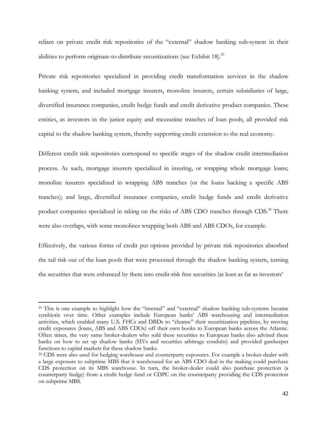reliant on private credit risk repositories of the "external" shadow banking sub-system in their abilities to perform originate-to-distribute securitizations (see Exhibit 18).<sup>25</sup>

Private risk repositories specialized in providing credit transformation services in the shadow banking system, and included mortgage insurers, monoline insurers, certain subsidiaries of large, diversified insurance companies, credit hedge funds and credit derivative product companies. These entities, as investors in the junior equity and mezzanine tranches of loan pools, all provided risk capital to the shadow banking system, thereby supporting credit extension to the real economy.

Different credit risk repositories correspond to specific stages of the shadow credit intermediation process. As such, mortgage insurers specialized in insuring, or wrapping whole mortgage loans; monoline insurers specialized in wrapping ABS tranches (or the loans backing a specific ABS tranches); and large, diversified insurance companies, credit hedge funds and credit derivative product companies specialized in taking on the risks of ABS CDO tranches through CDS.<sup>26</sup> There were also overlaps, with some monolines wrapping both ABS and ABS CDOs, for example.

Effectively, the various forms of credit put options provided by private risk repositories absorbed the tail risk out of the loan pools that were processed through the shadow banking system, turning the securities that were enhanced by them into credit-risk free securities (at least as far as investors'

l

<sup>&</sup>lt;sup>25</sup> This is one example to highlight how the "internal" and "external" shadow banking sub-systems became symbiotic over time. Other examples include European banks' ABS warehousing and intermediation activities, which enabled many U.S. FHCs and DBDs to "cleanse" their securitization pipelines, by moving credit exposures (loans, ABS and ABS CDOs) off their own books to European banks across the Atlantic. Often times, the very same broker-dealers who sold these securities to European banks also advised these banks on how to set up shadow banks (SIVs and securities arbitrage conduits) and provided gatekeeper functions to capital markets for these shadow banks.

<sup>26</sup> CDS were also used for hedging warehouse and counterparty exposures. For example a broker-dealer with a large exposure to subprime MBS that it warehoused for an ABS CDO deal in the making could purchase CDS protection on its MBS warehouse. In turn, the broker-dealer could also purchase protection (a counterparty hedge) from a credit hedge fund or CDPC on the counterparty providing the CDS protection on subprime MBS.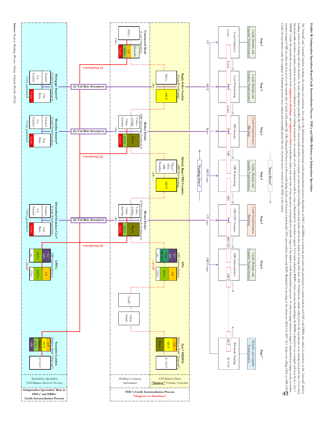



# Exhibit 18: Independent Specialists-Based Credit Intermediation Process - FHGs and DBDs Reliance on Independent Specialists **Exhibit 18: Independent Specialists-Based Credit Intermediation Process - FHCs and DBDs Reliance on Independent Specialists**

The "mernal" and "exernal" shalow banking sub-systems are symbiotic. Not only strate that the mediation process dependent on HCs and DBDs as varebuse providers and gatekeepers to capital markets, but HCs and DBDs also reli Credit risk repositories made the originate-to-distribute process seem riskless and essentially played the role of private-sector versions of the FDIC in the system. MMMF. Credit risk repositories were present in both  $\min$  siformationally inservers as a state as a scaling as a state and a constant and a state of the state of the state of the state of a state of the state of the state of the state of the state of the state of the state mformationally userations, which in turn are to a scale of a state of the comple of such are also that the second to the state of the collateriation would be a repo collaterial of the second of the second areas and be to a bankag system for fund ober den ang the specialists like is and securities kerders, for example, are a broker-dentation or example, are a terminal in thirds tor example, and securities kerders, for example, are a containin The "netrail" substage sub-systems are symbiotic. Not only is the independent specialis behavior construction PhO26 are accept and provides and DBDs as warehouse provides and gatekeepers to capital markets, but HICs and DB **originate-to-distribute** and **originate-to-fund**securitization chains, and each type of risk repository corresponded to specific stages of the shadow credit intermediation process. As such, mortgage insurers wrapped unsecuritized mortgage pools, monoline 43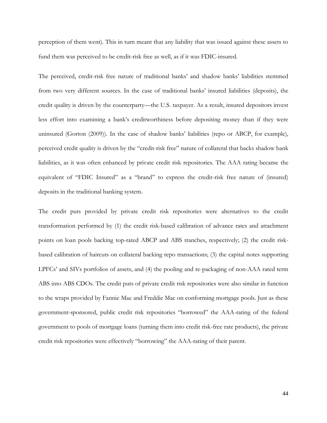perception of them went). This in turn meant that any liability that was issued against these assets to fund them was perceived to be credit-risk free as well, as if it was FDIC-insured.

The perceived, credit-risk free nature of traditional banks' and shadow banks' liabilities stemmed from two very different sources. In the case of traditional banks' insured liabilities (deposits), the credit quality is driven by the counterparty—the U.S. taxpayer. As a result, insured depositors invest less effort into examining a bank's creditworthiness before depositing money than if they were uninsured (Gorton (2009)). In the case of shadow banks' liabilities (repo or ABCP, for example), perceived credit quality is driven by the "credit-risk free" nature of collateral that backs shadow bank liabilities, as it was often enhanced by private credit risk repositories. The AAA rating became the equivalent of "FDIC Insured" as a "brand" to express the credit-risk free nature of (insured) deposits in the traditional banking system.

The credit puts provided by private credit risk repositories were alternatives to the credit transformation performed by (1) the credit risk-based calibration of advance rates and attachment points on loan pools backing top-rated ABCP and ABS tranches, respectively; (2) the credit riskbased calibration of haircuts on collateral backing repo transactions; (3) the capital notes supporting LPFCs' and SIVs portfolios of assets, and (4) the pooling and re-packaging of non-AAA rated term ABS into ABS CDOs. The credit puts of private credit risk repositories were also similar in function to the wraps provided by Fannie Mae and Freddie Mac on conforming mortgage pools. Just as these government-sponsored, public credit risk repositories "borrowed" the AAA-rating of the federal government to pools of mortgage loans (turning them into credit risk-free rate products), the private credit risk repositories were effectively "borrowing" the AAA-rating of their parent.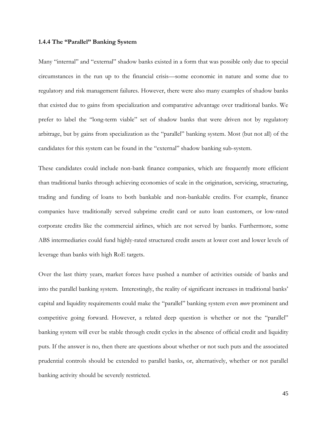### **1.4.4 The ―Parallel‖ Banking System**

Many "internal" and "external" shadow banks existed in a form that was possible only due to special circumstances in the run up to the financial crisis—some economic in nature and some due to regulatory and risk management failures. However, there were also many examples of shadow banks that existed due to gains from specialization and comparative advantage over traditional banks. We prefer to label the "long-term viable" set of shadow banks that were driven not by regulatory arbitrage, but by gains from specialization as the "parallel" banking system. Most (but not all) of the candidates for this system can be found in the "external" shadow banking sub-system.

These candidates could include non-bank finance companies, which are frequently more efficient than traditional banks through achieving economies of scale in the origination, servicing, structuring, trading and funding of loans to both bankable and non-bankable credits. For example, finance companies have traditionally served subprime credit card or auto loan customers, or low-rated corporate credits like the commercial airlines, which are not served by banks. Furthermore, some ABS intermediaries could fund highly-rated structured credit assets at lower cost and lower levels of leverage than banks with high RoE targets.

Over the last thirty years, market forces have pushed a number of activities outside of banks and into the parallel banking system. Interestingly, the reality of significant increases in traditional banks' capital and liquidity requirements could make the "parallel" banking system even *more* prominent and competitive going forward. However, a related deep question is whether or not the "parallel" banking system will ever be stable through credit cycles in the absence of official credit and liquidity puts. If the answer is no, then there are questions about whether or not such puts and the associated prudential controls should be extended to parallel banks, or, alternatively, whether or not parallel banking activity should be severely restricted.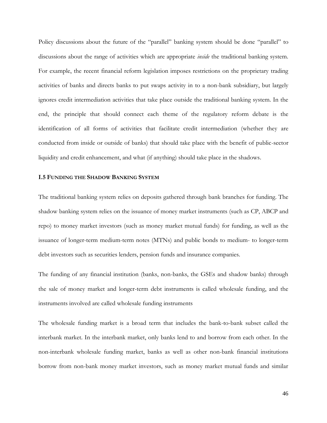Policy discussions about the future of the "parallel" banking system should be done "parallel" to discussions about the range of activities which are appropriate *inside* the traditional banking system. For example, the recent financial reform legislation imposes restrictions on the proprietary trading activities of banks and directs banks to put swaps activity in to a non-bank subsidiary, but largely ignores credit intermediation activities that take place outside the traditional banking system. In the end, the principle that should connect each theme of the regulatory reform debate is the identification of all forms of activities that facilitate credit intermediation (whether they are conducted from inside or outside of banks) that should take place with the benefit of public-sector liquidity and credit enhancement, and what (if anything) should take place in the shadows.

### **I.5 FUNDING THE SHADOW BANKING SYSTEM**

The traditional banking system relies on deposits gathered through bank branches for funding. The shadow banking system relies on the issuance of money market instruments (such as CP, ABCP and repo) to money market investors (such as money market mutual funds) for funding, as well as the issuance of longer-term medium-term notes (MTNs) and public bonds to medium- to longer-term debt investors such as securities lenders, pension funds and insurance companies.

The funding of any financial institution (banks, non-banks, the GSEs and shadow banks) through the sale of money market and longer-term debt instruments is called wholesale funding, and the instruments involved are called wholesale funding instruments

The wholesale funding market is a broad term that includes the bank-to-bank subset called the interbank market. In the interbank market, only banks lend to and borrow from each other. In the non-interbank wholesale funding market, banks as well as other non-bank financial institutions borrow from non-bank money market investors, such as money market mutual funds and similar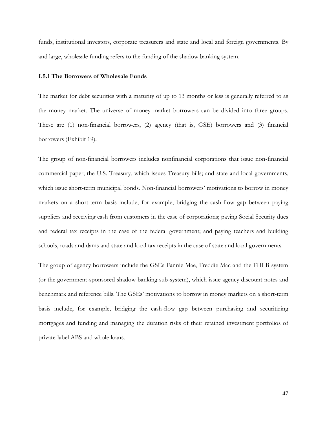funds, institutional investors, corporate treasurers and state and local and foreign governments. By and large, wholesale funding refers to the funding of the shadow banking system.

### **I.5.1 The Borrowers of Wholesale Funds**

The market for debt securities with a maturity of up to 13 months or less is generally referred to as the money market. The universe of money market borrowers can be divided into three groups. These are (1) non-financial borrowers, (2) agency (that is, GSE) borrowers and (3) financial borrowers (Exhibit 19).

The group of non-financial borrowers includes nonfinancial corporations that issue non-financial commercial paper; the U.S. Treasury, which issues Treasury bills; and state and local governments, which issue short-term municipal bonds. Non-financial borrowers' motivations to borrow in money markets on a short-term basis include, for example, bridging the cash-flow gap between paying suppliers and receiving cash from customers in the case of corporations; paying Social Security dues and federal tax receipts in the case of the federal government; and paying teachers and building schools, roads and dams and state and local tax receipts in the case of state and local governments.

The group of agency borrowers include the GSEs Fannie Mae, Freddie Mac and the FHLB system (or the government-sponsored shadow banking sub-system), which issue agency discount notes and benchmark and reference bills. The GSEs' motivations to borrow in money markets on a short-term basis include, for example, bridging the cash-flow gap between purchasing and securitizing mortgages and funding and managing the duration risks of their retained investment portfolios of private-label ABS and whole loans.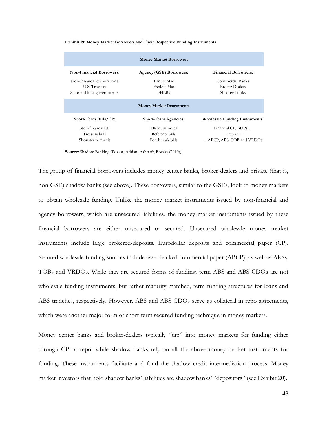| <b>Money Market Borrowers</b>                                              |                                                      |                                                                         |  |  |  |  |  |
|----------------------------------------------------------------------------|------------------------------------------------------|-------------------------------------------------------------------------|--|--|--|--|--|
| <b>Non-Financial Borrowers:</b>                                            | Agency (GSE) Borrowers:                              | <b>Financial Borrowers:</b>                                             |  |  |  |  |  |
| Non-Financial corporations<br>U.S. Treasury<br>State and local governments | Fannie Mae<br>Freddie Mac<br><b>FHLBs</b>            | Commercial Banks<br><b>Broker-Dealers</b><br>Shadow Banks               |  |  |  |  |  |
|                                                                            | <b>Money Market Instruments</b>                      |                                                                         |  |  |  |  |  |
| Short-Term Bills/CP:                                                       | <b>Short-Term Agencies:</b>                          | <b>Wholesale Funding Instruments:</b>                                   |  |  |  |  |  |
| Non-financial CP<br>Treasury bills<br>Short-term munis                     | Discount notes<br>Reference bills<br>Benchmark bills | Financial CP, BDPs<br>$\dots$ repos $\dots$<br>ABCP, ARS, TOB and VRDOs |  |  |  |  |  |

### **Exhibit 19: Money Market Borrowers and Their Respective Funding Instruments**

**Source:** Shadow Banking (Pozsar, Adrian, Ashcraft, Boesky (2010))

The group of financial borrowers includes money center banks, broker-dealers and private (that is, non-GSE) shadow banks (see above). These borrowers, similar to the GSEs, look to money markets to obtain wholesale funding. Unlike the money market instruments issued by non-financial and agency borrowers, which are unsecured liabilities, the money market instruments issued by these financial borrowers are either unsecured or secured. Unsecured wholesale money market instruments include large brokered-deposits, Eurodollar deposits and commercial paper (CP). Secured wholesale funding sources include asset-backed commercial paper (ABCP), as well as ARSs, TOBs and VRDOs. While they are secured forms of funding, term ABS and ABS CDOs are not wholesale funding instruments, but rather maturity-matched, term funding structures for loans and ABS tranches, respectively. However, ABS and ABS CDOs serve as collateral in repo agreements, which were another major form of short-term secured funding technique in money markets.

Money center banks and broker-dealers typically "tap" into money markets for funding either through CP or repo, while shadow banks rely on all the above money market instruments for funding. These instruments facilitate and fund the shadow credit intermediation process. Money market investors that hold shadow banks' liabilities are shadow banks' "depositors" (see Exhibit 20).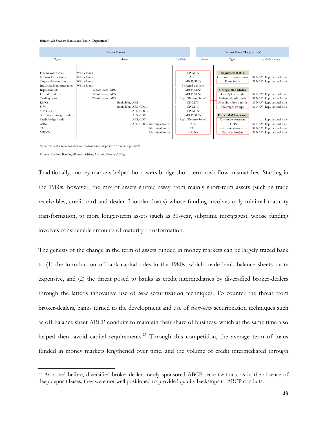### **Exhibit 20: Shadow Banks and Their "Depositors"**

|                               | <b>Shadow Banks</b>        |             | Shadow Bank "Depositors" |                             |                            |  |
|-------------------------------|----------------------------|-------------|--------------------------|-----------------------------|----------------------------|--|
| Types                         | $A$ ssets                  | Liabilities | Assets                   | Types                       | Liabilities/Risks          |  |
|                               |                            |             |                          |                             |                            |  |
| Finance companies             | Whole loans                |             | CP, MTN                  | <b>Regulated MMIs:</b>      |                            |  |
| Multi-seller conduits         | Whole loans                |             | ABCP                     | Government only funds       | \$1 NAV Reputational risks |  |
| Single-seller conduits        | Whole loans                |             | ABCP, SLNs               | Prime funds                 | \$1 NAV Reputational risks |  |
| Industrial loan companies     | Whole loans                |             | <b>Brokered</b> deposits |                             |                            |  |
| Repo conduits                 | Whole loans, ABS           |             | ABCP, SLNs               | <b>Unregulated MMIs:</b>    |                            |  |
| Hybrid conduits               | Whole loans, ABS           |             | ABCP, SLNs               | Cash "plus" funds           | \$1 NAV Reputational risks |  |
| Trading books                 | Whole loans, ABS           |             | Repo/Reverse Repo*       | Enhanced cash funds         | \$1 NAV Reputational risks |  |
| <b>LPFCs</b>                  | Bank debt, ABS             |             | CP, MTN                  | Ultra-short bond funds      | \$1 NAV Reputational risks |  |
| SIVs.                         | Bank debt, ABS, CDOs       |             | CP, MTN                  | Overnight sweeps            | \$1 NAV Reputational risks |  |
| SIV-Lites                     | ABS, CDOs                  |             | CP, MTN                  |                             |                            |  |
| Securities arbitrage conduits | ABS, CDOs                  |             | ABCP, SLNs               | <b>Direct MM Investors:</b> |                            |  |
| Credit hedge funds            | ABS, CDOs                  |             | Repo/Reverse Repo*       | Corporate treasurers        | Reputational risks         |  |
| <b>ARSs</b>                   | ABS, CDOs, Municipal bonds |             | ARS                      | LGIPs                       | \$1 NAV Reputational risks |  |
| <b>TOBs</b>                   | Municipal bonds            |             | TOB                      | Institutional investors     | \$1 NAV Reputational risks |  |
| <b>VRDOs</b>                  | Municipal bonds            |             | <b>VRDO</b>              | Securities lenders          | \$1 NAV Reputational risks |  |

\*Shadow banks' repo *liabilities* are shadow bank "depositors" reverse repo *assets* .

**Source:** Shadow Banking (Pozsar, Adrian, Ashcraft, Boesky (2010))

l

Traditionally, money markets helped borrowers bridge short-term cash flow mismatches. Starting in the 1980s, however, the mix of assets shifted away from mainly short-term assets (such as trade receivables, credit card and dealer floorplan loans) whose funding involves only minimal maturity transformation, to more longer-term assets (such as 30-year, subprime mortgages), whose funding involves considerable amounts of maturity transformation.

The genesis of the change in the term of assets funded in money markets can be largely traced back to (1) the introduction of bank capital rules in the 1980s, which made bank balance sheets more expensive, and (2) the threat posed to banks as credit intermediaries by diversified broker-dealers through the latter's innovative use of *term* securitization techniques. To counter the threat from broker-dealers, banks turned to the development and use of *short-term* securitization techniques such as off-balance sheet ABCP conduits to maintain their share of business, which at the same time also helped them avoid capital requirements.<sup>27</sup> Through this competition, the average term of loans funded in money markets lengthened over time, and the volume of credit intermediated through

<sup>27</sup> As noted before, diversified broker-dealers rarely sponsored ABCP securitizations, as in the absence of deep deposit bases, they were not well positioned to provide liquidity backstops to ABCP conduits.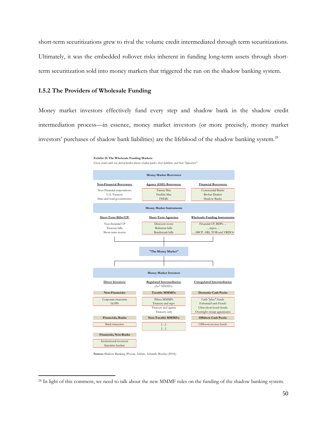short-term securitizations grew to rival the volume credit intermediated through term securitizations. Ultimately, it was the embedded rollover risks inherent in funding long-term assets through shortterm securitization sold into money markets that triggered the run on the shadow banking system.

### **I.5.2 The Providers of Wholesale Funding**

**Exhibit 21: The Wholesale Funding Markets**

Money market investors effectively fund every step and shadow bank in the shadow credit intermediation process—in essence, money market investors (or more precisely, money market investors' purchases of shadow bank liabilities) are the lifeblood of the shadow banking system.<sup>28</sup>

 $\overline{a}$ 

*Green shades with red, dotted borders denote shadow banks, their liabilities and their "depositors".* **Non-Financial Borrowers: Agency (GSE) Borrowers: Financial Borrowers:** Non-Financial corporations Fannie Mae Commercial Banks Non-financial CP Discount notes Financial CP, BDPs… **Money Market Borrowers** Peddie Mac Broker-Dealers<br>
FHLBs Shadow Banks State and local governments **Money Market Instruments** Reference bills …repos Short-term munis Benchmark bills ... ABCP, ARS, TOB and VRDOs **Short-Term Bills/CP: Short-Term Agencies: Wholesale Funding Instruments: "The Money Market" Direct Investors: Regulated Intermediaries: Unregulated Intermediaries:** *(2a-7 MMMFs)* **Money Market Investors Non-Financials: Taxable MMMFs: Domestic Cash Pools:** Corporate treasurers Prime MMMFs Cash "plus" funds Treasury and repo Enhanced cash Funds<br>
Treasury and agency Ultra-short bond fund Treasury and agency Ultra-short bond funds<br>Treasury only Overnight sweep agreemer Overnight sweep agreements **Financials, Banks Non-Taxable MMMFs: Offshore Cash Pools:** Bank treasurers […] Offhsore money funds […] **Financials, Non-Banks** Institutional investors Securities lenders

**Source:** Shadow Banking (Pozsar, Adrian, Ashcraft, Boesky (2010))

<sup>&</sup>lt;sup>28</sup> In light of this comment, we need to talk about the new MMMF rules on the funding of the shadow banking system.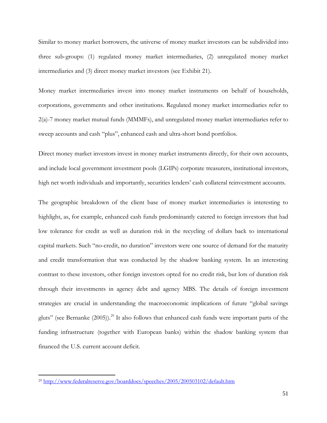Similar to money market borrowers, the universe of money market investors can be subdivided into three sub-groups: (1) regulated money market intermediaries, (2) unregulated money market intermediaries and (3) direct money market investors (see Exhibit 21).

Money market intermediaries invest into money market instruments on behalf of households, corporations, governments and other institutions. Regulated money market intermediaries refer to 2(a)-7 money market mutual funds (MMMFs), and unregulated money market intermediaries refer to sweep accounts and cash "plus", enhanced cash and ultra-short bond portfolios.

Direct money market investors invest in money market instruments directly, for their own accounts, and include local government investment pools (LGIPs) corporate treasurers, institutional investors, high net worth individuals and importantly, securities lenders' cash collateral reinvestment accounts.

The geographic breakdown of the client base of money market intermediaries is interesting to highlight, as, for example, enhanced cash funds predominantly catered to foreign investors that had low tolerance for credit as well as duration risk in the recycling of dollars back to international capital markets. Such "no-credit, no duration" investors were one source of demand for the maturity and credit transformation that was conducted by the shadow banking system. In an interesting contrast to these investors, other foreign investors opted for no credit risk, but lots of duration risk through their investments in agency debt and agency MBS. The details of foreign investment strategies are crucial in understanding the macroeconomic implications of future "global savings" gluts" (see Bernanke (2005)).<sup>29</sup> It also follows that enhanced cash funds were important parts of the funding infrastructure (together with European banks) within the shadow banking system that financed the U.S. current account deficit.

l

<sup>29</sup> <http://www.federalreserve.gov/boarddocs/speeches/2005/200503102/default.htm>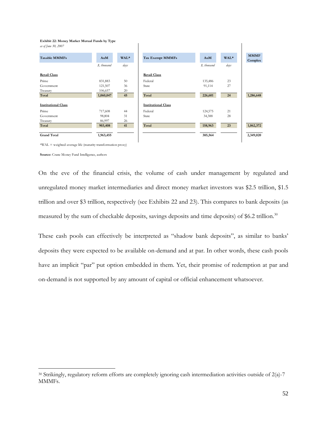

### **Exhibit 22: Money Market Mutual Funds by Type**

\*WAL = weighted-average life (maturity transformation proxy)

**Source:** Crane Money Fund Intelligence, authors

l

On the eve of the financial crisis, the volume of cash under management by regulated and unregulated money market intermediaries and direct money market investors was \$2.5 trillion, \$1.5 trillion and over \$3 trillion, respectively (see Exhibits 22 and 23). This compares to bank deposits (as measured by the sum of checkable deposits, savings deposits and time deposits) of \$6.2 trillion.<sup>30</sup>

These cash pools can effectively be interpreted as "shadow bank deposits", as similar to banks' deposits they were expected to be available on-demand and at par. In other words, these cash pools have an implicit "par" put option embedded in them. Yet, their promise of redemption at par and on-demand is not supported by any amount of capital or official enhancement whatsoever.

<sup>30</sup> Strikingly, regulatory reform efforts are completely ignoring cash intermediation activities outside of 2(a)-7 MMMFs.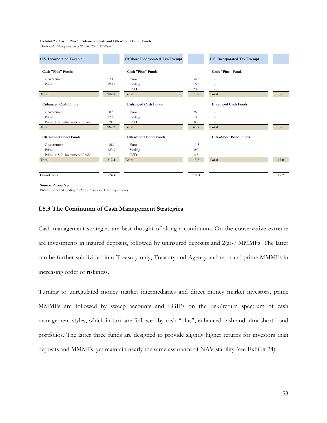### **Exhibit 23: Cash "Plus", Enhanced Cash and Ultra-Short Bond Funds**

*Assets under Management as of 06/30/2007, \$ billions*

| U.S. Incorporated Taxable     |       | Offshore Incorporated Tax-Exempt |       | U.S. Incorporated Tax Exempt  |      |
|-------------------------------|-------|----------------------------------|-------|-------------------------------|------|
| Cash "Plus" Funds             |       | Cash "Plus" Funds                |       | Cash "Plus" Funds             |      |
| Government                    | 2.1   | Euro                             | 34.5  | ٠                             |      |
| Prime                         | 190.7 | Sterling                         | 16.3  |                               |      |
|                               |       | <b>USD</b>                       | 20.0  | $\overline{\phantom{a}}$      |      |
| Total                         | 192.8 | Total                            | 70.8  | Total                         | 3.6  |
| <b>Enhanced Cash Funds</b>    |       | <b>Enhanced Cash Funds</b>       |       | <b>Enhanced Cash Funds</b>    |      |
| Government                    | 0.3   | Euro                             | 26.6  | ٠                             |      |
| Prime                         | 129.6 | Sterling                         | 10.6  |                               |      |
| Prime + Sub-Investment Grade  | 39.3  | <b>USD</b>                       | 8.5   |                               |      |
| Total                         | 169.2 | Total                            | 45.7  | Total                         | 3.6  |
| <b>Ultra-Short Bond Funds</b> |       | <b>Ultra-Short Bond Funds</b>    |       | <b>Ultra-Short Bond Funds</b> |      |
| Government                    | 16.9  | Euro                             | 11.3  |                               |      |
| Prime                         | 123.9 | Sterling                         | 0.0   |                               |      |
| Prime + Sub-Investment Grade  | 71.6  | <b>USD</b>                       | 2.5   |                               |      |
| Total                         | 212.4 | Total                            | 13.8  | Total                         | 12.0 |
|                               |       |                                  |       |                               |      |
| <b>Grand Total</b>            | 574.4 |                                  | 130.3 |                               | 19.2 |

**Source:** iMoneyNet

**Note:** Euro and sterling AuM estimates are USD equivalents.

### **I.5.3 The Continuum of Cash Management Strategies**

Cash management strategies are best thought of along a continuum. On the conservative extreme are investments in insured deposits, followed by uninsured deposits and 2(a)-7 MMMFs. The latter can be further subdivided into Treasury-only, Treasury and Agency and repo and prime MMMFs in increasing order of riskiness.

Turning to unregulated money market intermediaries and direct money market investors, prime MMMFs are followed by sweep accounts and LGIPs on the risk/return spectrum of cash management styles, which in turn are followed by cash "plus", enhanced cash and ultra-short bond portfolios. The latter three funds are designed to provide slightly higher returns for investors than deposits and MMMFs, yet maintain nearly the same assurance of NAV stability (see Exhibit 24).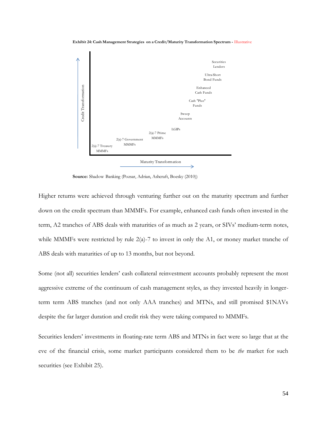**Exhibit 24: Cash Management Strategies on a Credit/Maturity Transformation Spectrum -** Illustrative



Higher returns were achieved through venturing further out on the maturity spectrum and further down on the credit spectrum than MMMFs. For example, enhanced cash funds often invested in the term, A2 tranches of ABS deals with maturities of as much as 2 years, or SIVs' medium-term notes, while MMMFs were restricted by rule  $2(a)$ -7 to invest in only the A1, or money market tranche of ABS deals with maturities of up to 13 months, but not beyond.

Some (not all) securities lenders' cash collateral reinvestment accounts probably represent the most aggressive extreme of the continuum of cash management styles, as they invested heavily in longerterm term ABS tranches (and not only AAA tranches) and MTNs, and still promised \$1NAVs despite the far larger duration and credit risk they were taking compared to MMMFs.

Securities lenders' investments in floating-rate term ABS and MTNs in fact were so large that at the eve of the financial crisis, some market participants considered them to be *the* market for such securities (see Exhibit 25).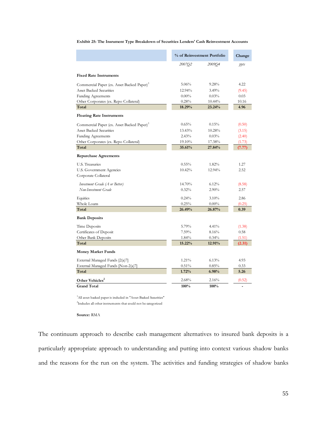|                                                        |          | % of Reinvestment Portfolio | Change         |
|--------------------------------------------------------|----------|-----------------------------|----------------|
|                                                        | 2007Q2   | 200904                      | ppts           |
| <b>Fixed Rate Instruments</b>                          |          |                             |                |
| Commercial Paper (ex. Asset Backed Paper) <sup>1</sup> | 5.06%    | 9.28%                       | 4.22           |
| <b>Asset Backed Securities</b>                         | 12.94%   | 3.49%                       | (9.45)         |
| <b>Funding Agreements</b>                              | $0.00\%$ | 0.03%                       | 0.03           |
| Other Corporates (ex. Repo Collateral)                 | 0.28%    | 10.44%                      | 10.16          |
| Total                                                  | 18.29%   | 23.24%                      | 4.96           |
| <b>Floating Rate Instruments</b>                       |          |                             |                |
| Commercial Paper (ex. Asset Backed Paper) <sup>1</sup> | 0.65%    | 0.15%                       | (0.50)         |
| <b>Asset Backed Securities</b>                         | 13.43%   | 10.28%                      | (3.15)         |
| <b>Funding Agreements</b>                              | 2.43%    | 0.03%                       | (2.40)         |
| Other Corporates (ex. Repo Collateral)                 | 19.10%   | 17.38%                      | (1.73)         |
| Total                                                  | 35.61%   | 27.84%                      | (7.77)         |
| <b>Repurchase Agreements</b>                           |          |                             |                |
| U.S. Treasuries                                        | $0.55\%$ | 1.82%                       | 1.27           |
| U.S. Government Agencies                               | 10.42%   | 12.94%                      | 2.52           |
| Corporate Collateral                                   |          |                             |                |
| Investment Grade (A or Better)                         | 14.70%   | 6.12%                       | (8.58)         |
| Non-Investment Grade                                   | 0.32%    | 2.90%                       | 2.57           |
| Equities                                               | 0.24%    | 3.10%                       | 2.86           |
| Whole Loans                                            | 0.25%    | $0.00\%$                    | (0.25)         |
| Total                                                  | 26.49%   | 26.87%                      | 0.39           |
| <b>Bank Deposits</b>                                   |          |                             |                |
| Time Deposits                                          | 5.79%    | 4.41%                       | (1.38)         |
| Certificates of Deposit                                | 7.59%    | 8.16%                       | 0.58           |
| Other Bank Deposits                                    | 1.84%    | 0.34%                       | (1.51)         |
| Total                                                  | 15.22%   | 12.91%                      | (2.31)         |
| <b>Money Market Funds</b>                              |          |                             |                |
| External Managed Funds [2(a)7]                         | 1.21%    | 6.13%                       | 4.93           |
| External Managed Funds [Non-2(a)7]                     | 0.51%    | 0.85%                       | 0.33           |
| Total                                                  | 1.72%    | 6.98%                       | 5.26           |
| Other Vehicles <sup>2</sup>                            | 2.68%    | 2.16%                       | (0.52)         |
| <b>Grand Total</b>                                     | 100%     | 100%                        | $\overline{a}$ |

### **Exhibit 25: The Insrument Type Breakdown of Securities Lenders' Cash Reinvestment Accounts**

<sup>1</sup>All asset backed paper is induded in "Asset Backed Securities" <sup>2</sup>Indudes all other instruments that could not be categorized

**Source:** RMA

The continuum approach to describe cash management alternatives to insured bank deposits is a particularly appropriate approach to understanding and putting into context various shadow banks and the reasons for the run on the system. The activities and funding strategies of shadow banks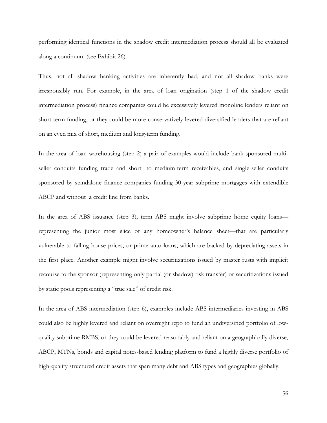performing identical functions in the shadow credit intermediation process should all be evaluated along a continuum (see Exhibit 26).

Thus, not all shadow banking activities are inherently bad, and not all shadow banks were irresponsibly run. For example, in the area of loan origination (step 1 of the shadow credit intermediation process) finance companies could be excessively levered monoline lenders reliant on short-term funding, or they could be more conservatively levered diversified lenders that are reliant on an even mix of short, medium and long-term funding.

In the area of loan warehousing (step 2) a pair of examples would include bank-sponsored multiseller conduits funding trade and short- to medium-term receivables, and single-seller conduits sponsored by standalone finance companies funding 30-year subprime mortgages with extendible ABCP and without a credit line from banks.

In the area of ABS issuance (step 3), term ABS might involve subprime home equity loans representing the junior most slice of any homeowner's balance sheet—that are particularly vulnerable to falling house prices, or prime auto loans, which are backed by depreciating assets in the first place. Another example might involve securitizations issued by master rusts with implicit recourse to the sponsor (representing only partial (or shadow) risk transfer) or securitizations issued by static pools representing a "true sale" of credit risk.

In the area of ABS intermediation (step 6), examples include ABS intermediaries investing in ABS could also be highly levered and reliant on overnight repo to fund an undiversified portfolio of lowquality subprime RMBS, or they could be levered reasonably and reliant on a geographically diverse, ABCP, MTNs, bonds and capital notes-based lending platform to fund a highly diverse portfolio of high-quality structured credit assets that span many debt and ABS types and geographies globally.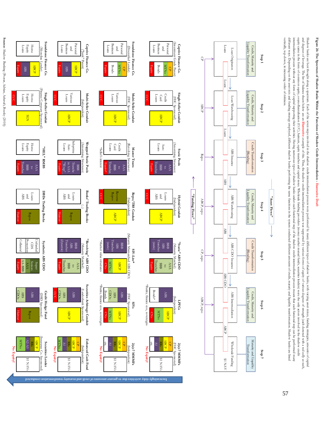Shadow banks are best thought along a spectrum. Each of the seren steps involve to the intermation process were performed by many different types of shadow banks, with varying sest mixes, funding strategies, amounts of cap vertically, top-down, in increasing order of riskiness vertically, top-down, in increasing order of riskiness. different ways. Depending on the asset mix and Innding strategy entirent shall be a partial controller and out of a system conducted different amounts of credit maturiy and liquidity transformation. Shadow banks are listed intermediation process without any form of papilis advisible matrice in the proper state and the shadow credit intermediation process means that each functional step can be performed many equity came in the form of common equity, overcollateralization (O/C), haircust, equity trackes and capital notes. Wholesale funding providers (money matket mutual funds, securities kenders) were the only actors involved i and degrees of leverage. The list of balance sheets below are an Shadow banks are best thought a long a spectum Each of the second in the shadow credit intermediation process were performed by many different types of shadow banks, with varying asset mixes, funding strategies, amounts of **illustrative**example of this. Thus, the shadow credit intermediation process was supported by various forms of equity of various degrees of strength (each denoted with a red cell): as such,



57

**Source:** Shadow Banking (Pozsar, Adrian, Asheraft, Boesky (2010)) Shadow Banking (Pozsar, Adrian, Ashcraft, Boesky (2010))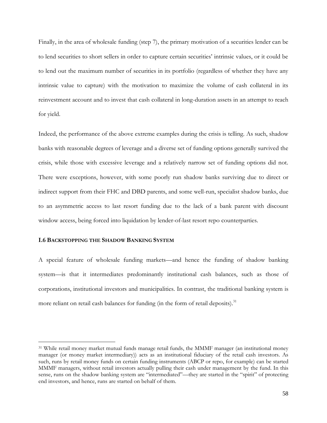Finally, in the area of wholesale funding (step 7), the primary motivation of a securities lender can be to lend securities to short sellers in order to capture certain securities' intrinsic values, or it could be to lend out the maximum number of securities in its portfolio (regardless of whether they have any intrinsic value to capture) with the motivation to maximize the volume of cash collateral in its reinvestment account and to invest that cash collateral in long-duration assets in an attempt to reach for yield.

Indeed, the performance of the above extreme examples during the crisis is telling. As such, shadow banks with reasonable degrees of leverage and a diverse set of funding options generally survived the crisis, while those with excessive leverage and a relatively narrow set of funding options did not. There were exceptions, however, with some poorly run shadow banks surviving due to direct or indirect support from their FHC and DBD parents, and some well-run, specialist shadow banks, due to an asymmetric access to last resort funding due to the lack of a bank parent with discount window access, being forced into liquidation by lender-of-last resort repo counterparties.

### **I.6 BACKSTOPPING THE SHADOW BANKING SYSTEM**

 $\overline{a}$ 

A special feature of wholesale funding markets—and hence the funding of shadow banking system—is that it intermediates predominantly institutional cash balances, such as those of corporations, institutional investors and municipalities. In contrast, the traditional banking system is more reliant on retail cash balances for funding (in the form of retail deposits).<sup>31</sup>

<sup>31</sup> While retail money market mutual funds manage retail funds, the MMMF manager (an institutional money manager (or money market intermediary)) acts as an institutional fiduciary of the retail cash investors. As such, runs by retail money funds on certain funding instruments (ABCP or repo, for example) can be started MMMF managers, without retail investors actually pulling their cash under management by the fund. In this sense, runs on the shadow banking system are "intermediated"—they are started in the "spirit" of protecting end investors, and hence, runs are started on behalf of them.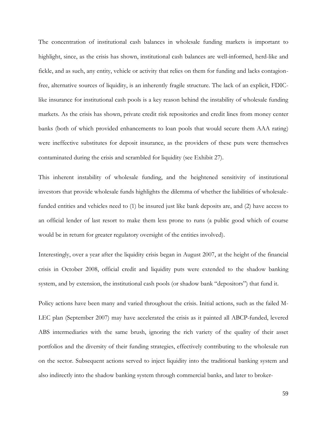The concentration of institutional cash balances in wholesale funding markets is important to highlight, since, as the crisis has shown, institutional cash balances are well-informed, herd-like and fickle, and as such, any entity, vehicle or activity that relies on them for funding and lacks contagionfree, alternative sources of liquidity, is an inherently fragile structure. The lack of an explicit, FDIClike insurance for institutional cash pools is a key reason behind the instability of wholesale funding markets. As the crisis has shown, private credit risk repositories and credit lines from money center banks (both of which provided enhancements to loan pools that would secure them AAA rating) were ineffective substitutes for deposit insurance, as the providers of these puts were themselves contaminated during the crisis and scrambled for liquidity (see Exhibit 27).

This inherent instability of wholesale funding, and the heightened sensitivity of institutional investors that provide wholesale funds highlights the dilemma of whether the liabilities of wholesalefunded entities and vehicles need to (1) be insured just like bank deposits are, and (2) have access to an official lender of last resort to make them less prone to runs (a public good which of course would be in return for greater regulatory oversight of the entities involved).

Interestingly, over a year after the liquidity crisis began in August 2007, at the height of the financial crisis in October 2008, official credit and liquidity puts were extended to the shadow banking system, and by extension, the institutional cash pools (or shadow bank "depositors") that fund it.

Policy actions have been many and varied throughout the crisis. Initial actions, such as the failed M-LEC plan (September 2007) may have accelerated the crisis as it painted all ABCP-funded, levered ABS intermediaries with the same brush, ignoring the rich variety of the quality of their asset portfolios and the diversity of their funding strategies, effectively contributing to the wholesale run on the sector. Subsequent actions served to inject liquidity into the traditional banking system and also indirectly into the shadow banking system through commercial banks, and later to broker-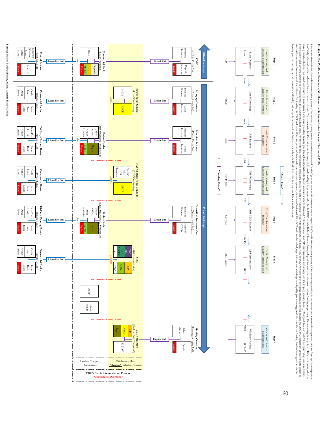

brokerdeales and dayime unwints of ovemight repose OMANIFs that the manageral experiments and the company and the company of the company of the construction of the construction of the construction of MANIFs and the constru Pior to the financial crisis, the catation consect the shalow bashing system was proted) in the financial consects. Of the second interval consects the state of the state of the state of the state of the state of the state liquidity puts, the funding providers (commercial banks) had to tap the unsecured interbank market, where the flood of bids for funding sent Libor spreads skyward. credit-ris tree asers to collarchill to the main of the collarchill collarchill called in the collarchill capons, When the collarchill capons, which is the collarchill capons, which is the collarchill capons, which is a sm broker-delers and daying and the state of the day the marker of the state of the state of the state of the state of the state of the state of the state of the state of the state of the state of the state of the state of th were preactly werer. Consortiums of comminal learning pure introgations that the state of the state of the state of the state of the state of the state of the state of the state of the state of the state of the state of  $\$ is officially entimated from a commercial bank's activities are backsoped by tracking liquity puts provided by the FDIC and the FDIC and the FDIC and the TDIC and the TDIC and the TDIC and the TDIC and the TDIC and the TDI Fror to the financial collect and the second the absolut as a strategy enhanced in the figure, we examine the chance of the is figure, we examine the fame, we examine the fame, we examine the fame, we examine the fame, we



60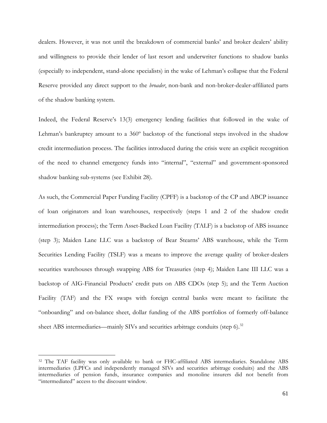dealers. However, it was not until the breakdown of commercial banks' and broker dealers' ability and willingness to provide their lender of last resort and underwriter functions to shadow banks (especially to independent, stand-alone specialists) in the wake of Lehman's collapse that the Federal Reserve provided any direct support to the *broader*, non-bank and non-broker-dealer-affiliated parts of the shadow banking system.

Indeed, the Federal Reserve's 13(3) emergency lending facilities that followed in the wake of Lehman's bankruptcy amount to a 360º backstop of the functional steps involved in the shadow credit intermediation process. The facilities introduced during the crisis were an explicit recognition of the need to channel emergency funds into "internal", "external" and government-sponsored shadow banking sub-systems (see Exhibit 28).

As such, the Commercial Paper Funding Facility (CPFF) is a backstop of the CP and ABCP issuance of loan originators and loan warehouses, respectively (steps 1 and 2 of the shadow credit intermediation process); the Term Asset-Backed Loan Facility (TALF) is a backstop of ABS issuance (step 3); Maiden Lane LLC was a backstop of Bear Stearns' ABS warehouse, while the Term Securities Lending Facility (TSLF) was a means to improve the average quality of broker-dealers securities warehouses through swapping ABS for Treasuries (step 4); Maiden Lane III LLC was a backstop of AIG-Financial Products' credit puts on ABS CDOs (step 5); and the Term Auction Facility (TAF) and the FX swaps with foreign central banks were meant to facilitate the "onboarding" and on-balance sheet, dollar funding of the ABS portfolios of formerly off-balance sheet ABS intermediaries—mainly SIVs and securities arbitrage conduits (step 6).<sup>32</sup>

 $\overline{\phantom{a}}$ 

<sup>&</sup>lt;sup>32</sup> The TAF facility was only available to bank or FHC-affiliated ABS intermediaries. Standalone ABS intermediaries (LPFCs and independently managed SIVs and securities arbitrage conduits) and the ABS intermediaries of pension funds, insurance companies and monoline insurers did not benefit from "intermediated" access to the discount window.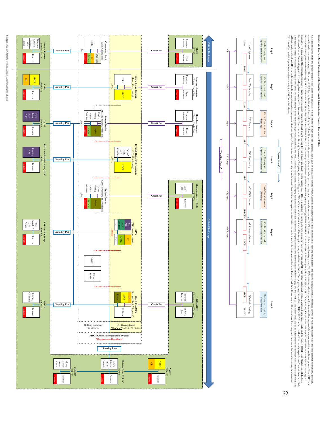TALF to offset the shrinkage in balance sheet capacity for ABS from their demise.

One princ scure redit and iquidy purpovider shipt orange pools on the mass constrained in the complement of a constrained constrained in the complement of the consequent mass of the consequent mass of the consequent mass Ally sect a state thanger and non-recipients of official legisticy. These entires failed too each with the content of the common content the basis to be the common content and a content and the common of Ally as a content a tev types of enthal by the contentrations and the contention in the contention in the content state of the constitution in the content state of the constitution in the content state of the constitution in the content of baksapy of varior for the particular anony manker interaction in a manker income, Fulfilly in a proper and anony the structure of the structure. Fulfilly in anony manker interactions, Fulfilly interactions, Fulfilly intera former sterlighter med and by European banks who, formally, both and having a bank and having the sterlight and the formally, and formally, and formally, and the formal warrably and formally, and the formally, and the form backerop of bar warehousing. TALF ind Maden Lance Haden Lance as a struck of the mass (Dance in 10.0 is a backerop of the credit of Maden Lance III, 11.6 as a system index (Date 2015), 100 and the system in the credit of t cantal bask of the sense of the Federal Nederal Nederal Nederland the federal particular and the Stadior CPF 153) inclustes the relevant of the inclust of the Helderal Nederal Nederal Nederal Nederal Nederal Nederal Nedera Once principal providers ability to make good on hear "promises" pursting promine and make approximate of the interest of the interest interest interest interest in the second and one content of second and one content of s

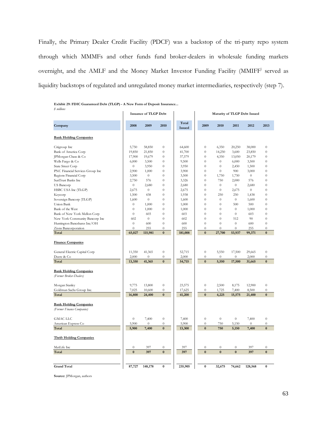Finally, the Primary Dealer Credit Facility (PDCF) was a backstop of the tri-party repo system through which MMMFs and other funds fund broker-dealers in wholesale funding markets overnight, and the AMLF and the Money Market Investor Funding Facility (MMIFF<sup>)</sup> served as liquidity backstops of regulated and unregulated money market intermediaries, respectively (step 7).

**Exhibit 29: FDIC Guaranteed Debt (TLGP) - A New Form of Deposit Insurance...**

| \$ millions                                                                      |                  |                              |                                                |                        |                                                  |                   |                            |                              |                                                  |
|----------------------------------------------------------------------------------|------------------|------------------------------|------------------------------------------------|------------------------|--------------------------------------------------|-------------------|----------------------------|------------------------------|--------------------------------------------------|
|                                                                                  |                  | <b>Issuance of TLGP Debt</b> |                                                |                        |                                                  |                   |                            | Maturity of TLGP Debt Issued |                                                  |
| Company                                                                          | 2008             | 2009                         | 2010                                           | Total<br><b>Issued</b> | 2009                                             | 2010              | 2011                       | 2012                         | 2013                                             |
| <b>Bank Holding Companies</b>                                                    |                  |                              |                                                |                        |                                                  |                   |                            |                              |                                                  |
| Citigroup Inc                                                                    | 5,750            | 58,850                       | $\theta$                                       | 64,600                 | $\boldsymbol{0}$                                 | 6,350             | 20,250                     | 38,000                       | $\boldsymbol{0}$                                 |
| Bank of America Corp                                                             | 19,850           | 21,850                       | $\overline{0}$                                 | 41,700                 | $\boldsymbol{0}$                                 | 14,250            | 3,600                      | 23,850                       | $\boldsymbol{0}$                                 |
| JPMorgan Chase & Co                                                              | 17,900           | 19,679                       | $\overline{0}$                                 | 37,579                 | $\boldsymbol{0}$                                 | 4,350             | 13,050                     | 20,179                       | $\theta$                                         |
| Wells Fargo & Co                                                                 | 6,000            | 3,500                        | $\overline{0}$                                 | 9,500                  | $\boldsymbol{0}$                                 | $\theta$          | 6,000                      | 3,500                        | $\boldsymbol{0}$                                 |
| State Street Corp                                                                | $\overline{0}$   | 3,950                        | $\overline{0}$                                 | 3,950                  | $\theta$                                         | $\theta$          | 2,450                      | 1,500                        | $\theta$                                         |
| PNC Financial Services Group Inc                                                 | 2,900            | 1,000                        | $\overline{0}$                                 | 3,900                  | $\boldsymbol{0}$                                 | $\theta$          | 900                        | 3,000                        | $\boldsymbol{0}$                                 |
| Regions Financial Corp                                                           | 3,500            | $\overline{0}$               | $\overline{0}$                                 | 3,500                  | $\theta$                                         | 1,750             | 1,750                      | $\theta$                     | $\theta$                                         |
| SunTrust Banks Inc                                                               | 2,750            | 576                          | $\overline{0}$                                 | 3,326                  | $\boldsymbol{0}$                                 | 750               | 2,000                      | 576                          | $\boldsymbol{0}$                                 |
| US Bancorp                                                                       | $\overline{0}$   | 2,680                        | $\overline{0}$                                 | 2,680                  | $\boldsymbol{0}$                                 | $\theta$          | $\overline{0}$             | 2,680                        | $\boldsymbol{0}$                                 |
| HSBC USA Inc (TLGP)                                                              | 2,675            | $\theta$                     | $\overline{0}$                                 | 2,675                  | $\theta$                                         | $\theta$          | 2,675                      | $\theta$                     | $\theta$                                         |
| Keycorp                                                                          | 1,500            | 438                          | $\overline{0}$                                 | 1,938                  | $\overline{0}$                                   | 250               | 250                        | 1,438                        | $\theta$                                         |
| Sovereign Bancorp (TLGP)                                                         | 1,600            | $\boldsymbol{0}$             | $\overline{0}$                                 | 1,600                  | $\boldsymbol{0}$                                 | $\boldsymbol{0}$  | $\boldsymbol{0}$           | 1,600                        | $\boldsymbol{0}$                                 |
| Union Bank                                                                       | $\boldsymbol{0}$ | 1,000                        | $\overline{0}$                                 | 1,000                  | $\overline{0}$                                   | $\theta$          | 500                        | 500                          | $\theta$                                         |
| Bank of the West                                                                 | $\boldsymbol{0}$ | 1,000                        | $\overline{0}$                                 | 1,000                  | $\overline{0}$                                   | $\theta$          | $\theta$                   | 1,000                        | $\theta$                                         |
| Bank of New York Mellon Corp                                                     | $\boldsymbol{0}$ | 603                          | $\overline{0}$                                 | 603                    | $\overline{0}$                                   | $\theta$          | $\boldsymbol{0}$           | 603                          | $\boldsymbol{0}$                                 |
| New York Community Bancorp Inc                                                   | 602              | $\boldsymbol{0}$             | $\overline{0}$                                 | 602                    | $\theta$                                         | $\theta$          | 512                        | 90                           | $\overline{0}$                                   |
| Huntington Bancshares Inc/OH                                                     | $\boldsymbol{0}$ | 600                          | $\overline{0}$                                 | 600                    | $\overline{0}$                                   | $\theta$          | $\theta$                   | 600                          | $\boldsymbol{0}$                                 |
| Zions Bancorporation                                                             | $\overline{0}$   | 255                          | $\boldsymbol{0}$                               | 255                    | $\theta$                                         | $\theta$          | $\overline{0}$             | 255                          | $\theta$                                         |
| Total                                                                            | 65,027           | 115,981                      | $\bf{0}$                                       | 181,008                | $\bf{0}$                                         | 27,700            | 53,937                     | 99,371                       | $\bf{0}$                                         |
| <b>Finance Companies</b><br>General Electric Capital Corp<br>Deere & Co<br>Total | 11,350<br>2,000  | 41,365<br>$\boldsymbol{0}$   | $\boldsymbol{0}$<br>$\overline{0}$<br>$\bf{0}$ | 52,715<br>2,000        | $\boldsymbol{0}$<br>$\boldsymbol{0}$<br>$\bf{0}$ | 5,550<br>$\theta$ | 17,500<br>$\boldsymbol{0}$ | 29,665<br>2,000              | $\boldsymbol{0}$<br>$\boldsymbol{0}$<br>$\bf{0}$ |
|                                                                                  | 13,350           | 41,365                       |                                                | 54,715                 |                                                  | 5,550             | 17,500                     | 31,665                       |                                                  |
| <b>Bank Holding Companies</b><br>(Former Broker-Dealers)                         |                  |                              |                                                |                        |                                                  |                   |                            |                              |                                                  |
| Morgan Stanley                                                                   | 9,775            | 13,800                       | $\overline{0}$                                 | 23,575                 | $\boldsymbol{0}$                                 | 2,500             | 8,175                      | 12,900                       | $\boldsymbol{0}$                                 |
| Goldman Sachs Group Inc.                                                         | 7,025            | 10,600                       | $\boldsymbol{0}$                               | 17,625                 | $\boldsymbol{0}$                                 | 1,725             | 7,400                      | 8,500                        | $\boldsymbol{0}$                                 |
| Total                                                                            | 16,800           | 24,400                       | $\bf{0}$                                       | 41,200                 | $\bf{0}$                                         | 4,225             | 15,575                     | 21,400                       | $\bf{0}$                                         |
| <b>Bank Holding Companies</b><br>(Former Finance Companies)                      |                  |                              |                                                |                        |                                                  |                   |                            |                              |                                                  |
| <b>GMAC LLC</b>                                                                  | $\,0\,$          | 7,400                        | $\theta$                                       | 7,400                  | $\boldsymbol{0}$                                 | $\theta$          | $\boldsymbol{0}$           | 7,400                        | $\boldsymbol{0}$                                 |
| American Express Co                                                              | 5,900            | $\boldsymbol{0}$             | $\boldsymbol{0}$                               | 5,900                  | $\overline{0}$                                   | 750               | 5,150                      | $\theta$                     | $\boldsymbol{0}$                                 |
| Total                                                                            | 5,900            | 7,400                        | $\bf{0}$                                       | 13,300                 | $\bf{0}$                                         | 750               | 5,150                      | 7,400                        | $\bf{0}$                                         |
| <b>Thrift Holding Companies</b>                                                  |                  |                              |                                                |                        |                                                  |                   |                            |                              |                                                  |
| MetLife Inc                                                                      | $\boldsymbol{0}$ | 397                          | $\boldsymbol{0}$                               | 397                    | $\boldsymbol{0}$                                 | $\theta$          | $\boldsymbol{0}$           | 397                          | $\boldsymbol{0}$                                 |
| Total                                                                            | $\bf{0}$         | 397                          | $\bf{0}$                                       | 397                    | $\bf{0}$                                         | $\bf{0}$          | $\bf{0}$                   | 397                          | $\bf{0}$                                         |
| <b>Grand Total</b>                                                               | 87,727           | 148,178                      | $\bf{0}$                                       | 235,905                | $\bf{0}$                                         | 32,675            | 74,662                     | 128,568                      | $\pmb{0}$                                        |

**Source:** JPMorgan, authors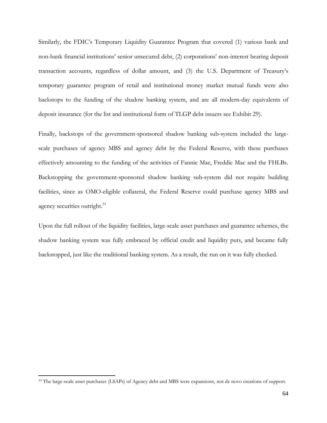Similarly, the FDIC's Temporary Liquidity Guarantee Program that covered (1) various bank and non-bank financial institutions' senior unsecured debt, (2) corporations' non-interest bearing deposit transaction accounts, regardless of dollar amount, and (3) the U.S. Department of Treasury's temporary guarantee program of retail and institutional money market mutual funds were also backstops to the funding of the shadow banking system, and are all modern-day equivalents of deposit insurance (for the list and institutional form of TLGP debt issuers see Exhibit 29).

Finally, backstops of the government-sponsored shadow banking sub-system included the largescale purchases of agency MBS and agency debt by the Federal Reserve, with these purchases effectively amounting to the funding of the activities of Fannie Mae, Freddie Mac and the FHLBs. Backstopping the government-sponsored shadow banking sub-system did not require building facilities, since as OMO-eligible collateral, the Federal Reserve could purchase agency MBS and agency securities outright.<sup>33</sup>

Upon the full rollout of the liquidity facilities, large-scale asset purchases and guarantee schemes, the shadow banking system was fully embraced by official credit and liquidity puts, and became fully backstopped, just like the traditional banking system. As a result, the run on it was fully checked.

 $\overline{a}$ 

<sup>33</sup> The large-scale asset purchases (LSAPs) of Agency debt and MBS were expansions, not de novo creations of support.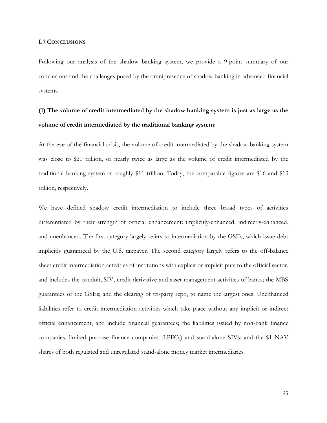### **I.7 CONCLUSIONS**

Following our analysis of the shadow banking system, we provide a 9-point summary of our conclusions and the challenges posed by the omnipresence of shadow banking in advanced financial systems.

### **(1) The volume of credit intermediated by the shadow banking system is just as large as the volume of credit intermediated by the traditional banking system:**

At the eve of the financial crisis, the volume of credit intermediated by the shadow banking system was close to \$20 trillion, or nearly twice as large as the volume of credit intermediated by the traditional banking system at roughly \$11 trillion. Today, the comparable figures are \$16 and \$13 trillion, respectively.

We have defined shadow credit intermediation to include three broad types of activities differentiated by their strength of official enhancement: implicitly-enhanced, indirectly-enhanced, and unenhanced. The first category largely refers to intermediation by the GSEs, which issue debt implicitly guaranteed by the U.S. taxpayer. The second category largely refers to the off-balance sheet credit intermediation activities of institutions with explicit or implicit puts to the official sector, and includes the conduit, SIV, credit derivative and asset management activities of banks; the MBS guarantees of the GSEs; and the clearing of tri-party repo, to name the largest ones. Unenhanced liabilities refer to credit intermediation activities which take place without any implicit or indirect official enhancement, and include financial guarantees; the liabilities issued by non-bank finance companies, limited purpose finance companies (LPFCs) and stand-alone SIVs; and the \$1 NAV shares of both regulated and unregulated stand-alone money market intermediaries.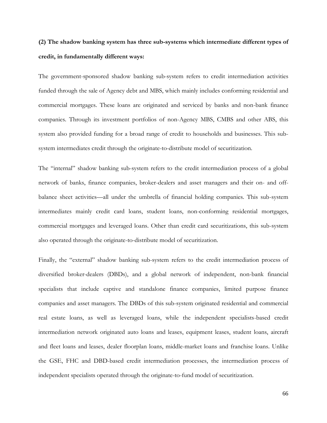# **(2) The shadow banking system has three sub-systems which intermediate different types of credit, in fundamentally different ways:**

The government-sponsored shadow banking sub-system refers to credit intermediation activities funded through the sale of Agency debt and MBS, which mainly includes conforming residential and commercial mortgages. These loans are originated and serviced by banks and non-bank finance companies. Through its investment portfolios of non-Agency MBS, CMBS and other ABS, this system also provided funding for a broad range of credit to households and businesses. This subsystem intermediates credit through the originate-to-distribute model of securitization.

The "internal" shadow banking sub-system refers to the credit intermediation process of a global network of banks, finance companies, broker-dealers and asset managers and their on- and offbalance sheet activities—all under the umbrella of financial holding companies. This sub-system intermediates mainly credit card loans, student loans, non-conforming residential mortgages, commercial mortgages and leveraged loans. Other than credit card securitizations, this sub-system also operated through the originate-to-distribute model of securitization.

Finally, the "external" shadow banking sub-system refers to the credit intermediation process of diversified broker-dealers (DBDs), and a global network of independent, non-bank financial specialists that include captive and standalone finance companies, limited purpose finance companies and asset managers. The DBDs of this sub-system originated residential and commercial real estate loans, as well as leveraged loans, while the independent specialists-based credit intermediation network originated auto loans and leases, equipment leases, student loans, aircraft and fleet loans and leases, dealer floorplan loans, middle-market loans and franchise loans. Unlike the GSE, FHC and DBD-based credit intermediation processes, the intermediation process of independent specialists operated through the originate-to-fund model of securitization.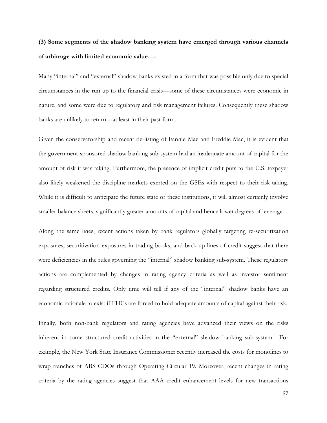# **(3) Some segments of the shadow banking system have emerged through various channels of arbitrage with limited economic value…:**

Many "internal" and "external" shadow banks existed in a form that was possible only due to special circumstances in the run up to the financial crisis—some of these circumstances were economic in nature, and some were due to regulatory and risk management failures. Consequently these shadow banks are unlikely to return—at least in their past form.

Given the conservatorship and recent de-listing of Fannie Mae and Freddie Mac, it is evident that the government-sponsored shadow banking sub-system had an inadequate amount of capital for the amount of risk it was taking. Furthermore, the presence of implicit credit puts to the U.S. taxpayer also likely weakened the discipline markets exerted on the GSEs with respect to their risk-taking. While it is difficult to anticipate the future state of these institutions, it will almost certainly involve smaller balance sheets, significantly greater amounts of capital and hence lower degrees of leverage.

Along the same lines, recent actions taken by bank regulators globally targeting re-securitization exposures, securitization exposures in trading books, and back-up lines of credit suggest that there were deficiencies in the rules governing the "internal" shadow banking sub-system. These regulatory actions are complemented by changes in rating agency criteria as well as investor sentiment regarding structured credits. Only time will tell if any of the "internal" shadow banks have an economic rationale to exist if FHCs are forced to hold adequate amounts of capital against their risk.

Finally, both non-bank regulators and rating agencies have advanced their views on the risks inherent in some structured credit activities in the "external" shadow banking sub-system. For example, the New York State Insurance Commissioner recently increased the costs for monolines to wrap tranches of ABS CDOs through Operating Circular 19. Moreover, recent changes in rating criteria by the rating agencies suggest that AAA credit enhancement levels for new transactions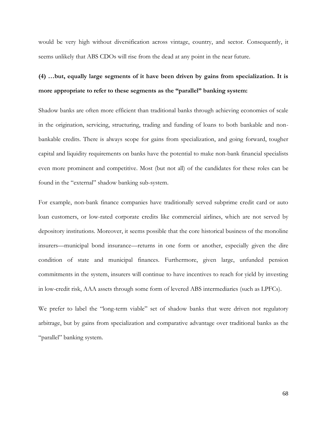would be very high without diversification across vintage, country, and sector. Consequently, it seems unlikely that ABS CDOs will rise from the dead at any point in the near future.

### **(4) …but, equally large segments of it have been driven by gains from specialization. It is**  more appropriate to refer to these segments as the "parallel" banking system:

Shadow banks are often more efficient than traditional banks through achieving economies of scale in the origination, servicing, structuring, trading and funding of loans to both bankable and nonbankable credits. There is always scope for gains from specialization, and going forward, tougher capital and liquidity requirements on banks have the potential to make non-bank financial specialists even more prominent and competitive. Most (but not all) of the candidates for these roles can be found in the "external" shadow banking sub-system.

For example, non-bank finance companies have traditionally served subprime credit card or auto loan customers, or low-rated corporate credits like commercial airlines, which are not served by depository institutions. Moreover, it seems possible that the core historical business of the monoline insurers—municipal bond insurance—returns in one form or another, especially given the dire condition of state and municipal finances. Furthermore, given large, unfunded pension commitments in the system, insurers will continue to have incentives to reach for yield by investing in low-credit risk, AAA assets through some form of levered ABS intermediaries (such as LPFCs).

We prefer to label the "long-term viable" set of shadow banks that were driven not regulatory arbitrage, but by gains from specialization and comparative advantage over traditional banks as the "parallel" banking system.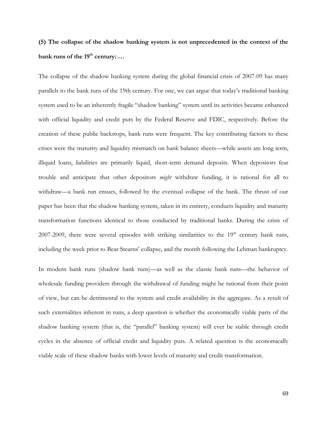# **(5) The collapse of the shadow banking system is not unprecedented in the context of the bank runs of the 19th century: …**

The collapse of the shadow banking system during the global financial crisis of 2007-09 has many parallels to the bank runs of the 19th century. For one, we can argue that today's traditional banking system used to be an inherently fragile "shadow banking" system until its activities became enhanced with official liquidity and credit puts by the Federal Reserve and FDIC, respectively. Before the creation of these public backstops, bank runs were frequent. The key contributing factors to these crises were the maturity and liquidity mismatch on bank balance sheets—while assets are long term, illiquid loans, liabilities are primarily liquid, short-term demand deposits. When depositors fear trouble and anticipate that other depositors *might* withdraw funding, it is rational for all to withdraw—a bank run ensues, followed by the eventual collapse of the bank. The thrust of our paper has been that the shadow banking system, taken in its entirety, conducts liquidity and maturity transformation functions identical to those conducted by traditional banks. During the crisis of 2007-2009, there were several episodes with striking similarities to the  $19<sup>th</sup>$  century bank runs, including the week prior to Bear Stearns' collapse, and the month following the Lehman bankruptcy.

In modern bank runs (shadow bank runs)—as well as the classic bank runs—the behavior of wholesale funding providers through the withdrawal of funding might be rational from their point of view, but can be detrimental to the system and credit availability in the aggregate. As a result of such externalities inherent in runs, a deep question is whether the economically viable parts of the shadow banking system (that is, the "parallel" banking system) will ever be stable through credit cycles in the absence of official credit and liquidity puts. A related question is the economically viable scale of these shadow banks with lower levels of maturity and credit transformation.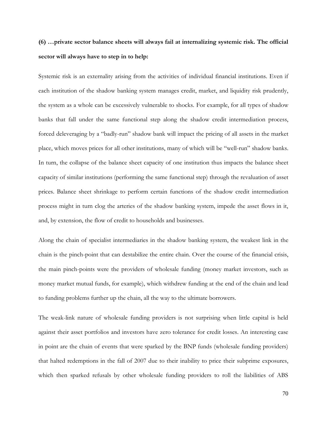# **(6) …private sector balance sheets will always fail at internalizing systemic risk. The official sector will always have to step in to help:**

Systemic risk is an externality arising from the activities of individual financial institutions. Even if each institution of the shadow banking system manages credit, market, and liquidity risk prudently, the system as a whole can be excessively vulnerable to shocks. For example, for all types of shadow banks that fall under the same functional step along the shadow credit intermediation process, forced deleveraging by a "badly-run" shadow bank will impact the pricing of all assets in the market place, which moves prices for all other institutions, many of which will be "well-run" shadow banks. In turn, the collapse of the balance sheet capacity of one institution thus impacts the balance sheet capacity of similar institutions (performing the same functional step) through the revaluation of asset prices. Balance sheet shrinkage to perform certain functions of the shadow credit intermediation process might in turn clog the arteries of the shadow banking system, impede the asset flows in it, and, by extension, the flow of credit to households and businesses.

Along the chain of specialist intermediaries in the shadow banking system, the weakest link in the chain is the pinch-point that can destabilize the entire chain. Over the course of the financial crisis, the main pinch-points were the providers of wholesale funding (money market investors, such as money market mutual funds, for example), which withdrew funding at the end of the chain and lead to funding problems further up the chain, all the way to the ultimate borrowers.

The weak-link nature of wholesale funding providers is not surprising when little capital is held against their asset portfolios and investors have zero tolerance for credit losses. An interesting case in point are the chain of events that were sparked by the BNP funds (wholesale funding providers) that halted redemptions in the fall of 2007 due to their inability to price their subprime exposures, which then sparked refusals by other wholesale funding providers to roll the liabilities of ABS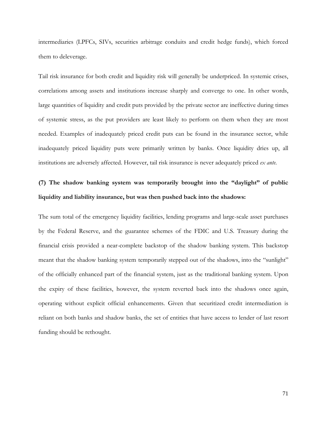intermediaries (LPFCs, SIVs, securities arbitrage conduits and credit hedge funds), which forced them to deleverage.

Tail risk insurance for both credit and liquidity risk will generally be underpriced. In systemic crises, correlations among assets and institutions increase sharply and converge to one. In other words, large quantities of liquidity and credit puts provided by the private sector are ineffective during times of systemic stress, as the put providers are least likely to perform on them when they are most needed. Examples of inadequately priced credit puts can be found in the insurance sector, while inadequately priced liquidity puts were primarily written by banks. Once liquidity dries up, all institutions are adversely affected. However, tail risk insurance is never adequately priced *ex ante*.

# (7) The shadow banking system was temporarily brought into the "daylight" of public **liquidity and liability insurance, but was then pushed back into the shadows:**

The sum total of the emergency liquidity facilities, lending programs and large-scale asset purchases by the Federal Reserve, and the guarantee schemes of the FDIC and U.S. Treasury during the financial crisis provided a near-complete backstop of the shadow banking system. This backstop meant that the shadow banking system temporarily stepped out of the shadows, into the "sunlight" of the officially enhanced part of the financial system, just as the traditional banking system. Upon the expiry of these facilities, however, the system reverted back into the shadows once again, operating without explicit official enhancements. Given that securitized credit intermediation is reliant on both banks and shadow banks, the set of entities that have access to lender of last resort funding should be rethought.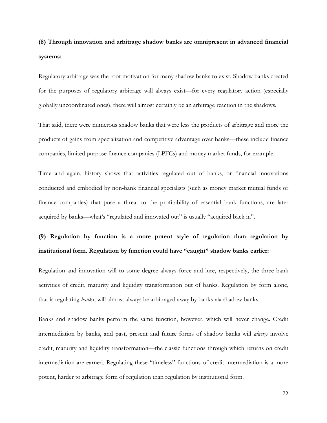# **(8) Through innovation and arbitrage shadow banks are omnipresent in advanced financial systems:**

Regulatory arbitrage was the root motivation for many shadow banks to exist. Shadow banks created for the purposes of regulatory arbitrage will always exist—for every regulatory action (especially globally uncoordinated ones), there will almost certainly be an arbitrage reaction in the shadows.

That said, there were numerous shadow banks that were less the products of arbitrage and more the products of gains from specialization and competitive advantage over banks—these include finance companies, limited purpose finance companies (LPFCs) and money market funds, for example.

Time and again, history shows that activities regulated out of banks, or financial innovations conducted and embodied by non-bank financial specialists (such as money market mutual funds or finance companies) that pose a threat to the profitability of essential bank functions, are later acquired by banks—what's "regulated and innovated out" is usually "acquired back in".

## **(9) Regulation by function is a more potent style of regulation than regulation by**  institutional form. Regulation by function could have "caught" shadow banks earlier:

Regulation and innovation will to some degree always force and lure, respectively, the three bank activities of credit, maturity and liquidity transformation out of banks. Regulation by form alone, that is regulating *banks*, will almost always be arbitraged away by banks via shadow banks.

Banks and shadow banks perform the same function, however, which will never change. Credit intermediation by banks, and past, present and future forms of shadow banks will *always* involve credit, maturity and liquidity transformation—the classic functions through which returns on credit intermediation are earned. Regulating these "timeless" functions of credit intermediation is a more potent, harder to arbitrage form of regulation than regulation by institutional form.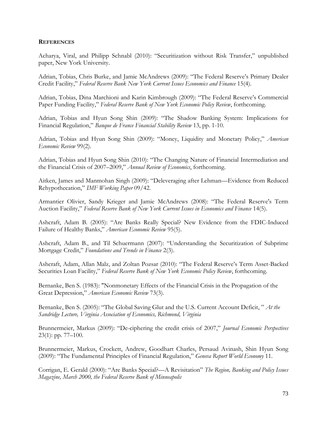#### **REFERENCES**

Acharya, Viral, and Philipp Schnabl (2010): "Securitization without Risk Transfer," unpublished paper, New York University.

Adrian, Tobias, Chris Burke, and Jamie McAndrews (2009): "The Federal Reserve's Primary Dealer Credit Facility," Federal Reserve Bank New York Current Issues Economics and Finance 15(4).

Adrian, Tobias, Dina Marchioni and Karin Kimbrough (2009): "The Federal Reserve's Commercial Paper Funding Facility," *Federal Reserve Bank of New York Economic Policy Review*, forthcoming.

Adrian, Tobias and Hyun Song Shin (2009): "The Shadow Banking System: Implications for Financial Regulation," *Banque de France Financial Stability Review* 13, pp. 1-10.

Adrian, Tobias and Hyun Song Shin (2009): "Money, Liquidity and Monetary Policy," American *Economic Review* 99(2).

Adrian, Tobias and Hyun Song Shin (2010): "The Changing Nature of Financial Intermediation and the Financial Crisis of 2007–2009," *Annual Review of Economics*, forthcoming.

Aitken, James and Manmohan Singh (2009): "Deleveraging after Lehman—Evidence from Reduced Rehypothecation," *IMF Working Paper* 09/42.

Armantier Olivier, Sandy Krieger and Jamie McAndrews (2008): "The Federal Reserve's Term Auction Facility," Federal Reserve Bank of New York Current Issues in Economics and Finance 14(5).

Ashcraft, Adam B. (2005): "Are Banks Really Special? New Evidence from the FDIC-Induced Failure of Healthy Banks," *American Economic Review* 95(5).

Ashcraft, Adam B., and Til Schuermann (2007): "Understanding the Securitization of Subprime Mortgage Credit," Foundations and Trends in Finance 2(3).

Ashcraft, Adam, Allan Malz, and Zoltan Pozsar (2010): "The Federal Reserve's Term Asset-Backed Securities Loan Facility," Federal Reserve Bank of New York Economic Policy Review, forthcoming.

Bernanke, Ben S. (1983): "Nonmonetary Effects of the Financial Crisis in the Propagation of the Great Depression," *American Economic Review* 73(3).

Bernanke, Ben S. (2005): "The Global Saving Glut and the U.S. Current Account Deficit," At the *Sandridge Lecture, Virginia Association of Economics, Richmond, Virginia*

Brunnermeier, Markus (2009): "De-ciphering the credit crisis of 2007," *Journal Economic Perspectives* 23(1): pp. 77–100.

Brunnermeier, Markus, Crockett, Andrew, Goodhart Charles, Persaud Avinash, Shin Hyun Song (2009): "The Fundamental Principles of Financial Regulation," *Geneva Report World Economy* 11.

Corrigan, E. Gerald (2000): "Are Banks Special?—A Revisitation" The Region, Banking and Policy Issues *Magazine, March 2000, the Federal Reserve Bank of Minneapolis*